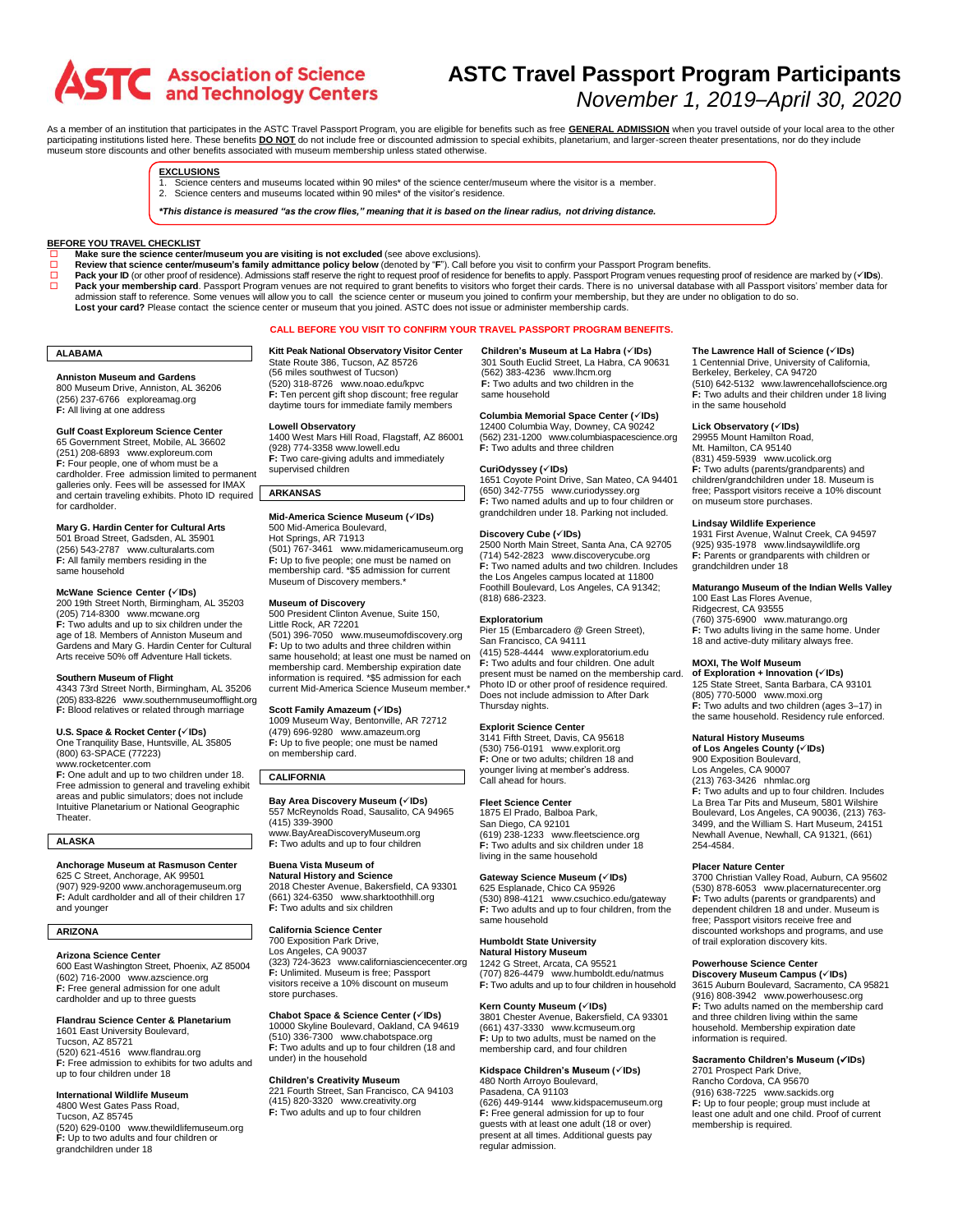# **ASTC** Association of Science

# **ASTC Travel Passport Program Participants** *November 1, 2019–April 30, 2020*

As a member of an institution that participates in the ASTC Travel Passport Program, you are eligible for benefits such as free **GENERAL ADMISSION** when you travel outside of your local area to the other participating institutions listed here. These benefits **DO NOT** do not include free or discounted admission to special exhibits, planetarium, and larger-screen theater presentations, nor do they include museum store discounts and other benefits associated with museum membership unless stated otherwise.

# **EXCLUSIONS**

- 1. Science centers and museums located within 90 miles\* of the science center/museum where the visitor is a member.
- 2. Science centers and museums located within 90 miles\* of the visitor's residence.

\*This distance is measured "as the crow flies." meaning that it is based on the linear radius, not driving distance.

### **BEFORE YOU TRAVEL CHECKLIST**

- **Make** sure the science center/museum you are visiting is not excluded (see above exclusions).<br> **Review that science center/museum's family admittance policy below (depoted by "F"). Call be** 
	-
- □ Review that science center/museum's family admittance policy below (denoted by "F"). Call before you visit to confirm your Passport Program benefits.<br>□ Pack your ID (or other proof of residence). Admissions staff reserv □ **Pack your membership card**. Passport Program venues are not required to grant benefits to visitors who forget their cards. There is no universal database with all Passport visitors' member data for<br>admission staff to r **Lost your card?** Please contact the science center or museum that you joined. ASTC does not issue or administer membership cards.

# **CALL BEFORE YOU VISIT TO CONFIRM YOUR TRAVEL PASSPORT PROGRAM BENEFITS.**

# **ALABAMA**

**Anniston Museum and Gardens** 800 Museum Drive, Anniston, AL 36206 (256) 237-6766 [exploreamag.org](https://exploreamag.org/) **F:** All living at one address

# **Gulf Coast Exploreum Science Center**

65 Government Street, Mobile, AL 36602 (251) 208-6893 [www.exploreum.com](http://www.exploreum.com/) **F:** Four people, one of whom must be a cardholder. Free admission limited to permanent galleries only. Fees will be assessed for IMAX and certain traveling exhibits. Photo ID required for cardholder.

## **Mary G. Hardin Center for Cultural Arts**

501 Broad Street, Gadsden, AL 35901 (256) 543-2787 [www.culturalarts.com](http://www.culturalarts.com/) **F:** All family members residing in the same household

### **McWane Science Center (**✓**IDs)**

200 19th Street North, Birmingham, AL 35203 (205) 714-8300 [www.mcwane.org](http://www.mcwane.org/) **F:** Two adults and up to six children under the age of 18. Members of Anniston Museum and Gardens and Mary G. Hardin Center for Cultural Arts receive 50% off Adventure Hall tickets.

# **Southern Museum of Flight**

4343 73rd Street North, Birmingham, AL 35206 (205) 833-8226 [www.southernmuseumofflight.org](http://www.southernmuseumofflight.org/) **F:** Blood relatives or related through marriage

# **U.S. Space & Rocket Center (**✓**IDs)**

One Tranquility Base, Huntsville, AL 35805 (800) 63-SPACE (77223) ww[w.rocketcenter.com](http://rocketcenter.com/)

**F:** One adult and up to two children under 18. Free admission to general and traveling exhibit areas and public simulators; does not include Intuitive Planetarium or National Geographic Theater.

# **ALASKA**

# **Anchorage Museum at Rasmuson Center**

625 C Street, Anchorage, AK 99501 (907) 929-920[0 www.anchoragemuseum.org](http://www.anchoragemuseum.org/) **F:** Adult cardholder and all of their children 17 and younger

# **ARIZONA**

**Arizona Science Center**

600 East Washington Street, Phoenix, AZ 85004 (602) 716-2000 [www.azscience.org](http://www.azscience.org/) **F:** Free general admission for one adult cardholder and up to three guests

### **Flandrau Science Center & Planetarium**

1601 East University Boulevard, Tucson, AZ 85721 (520) 621-4516 [www.flandrau.org](http://www.flandrau.org/) **F:** Free admission to exhibits for two adults and up to four children under 18

# **International Wildlife Museum**

4800 West Gates Pass Road, Tucson, AZ 85745 (520) 629-0100 [www.thewildlifemuseum.org](http://www.thewildlifemuseum.org/) **F:** Up to two adults and four children or grandchildren under 18

**Kitt Peak National Observatory Visitor Center** State Route 386, Tucson, AZ 85726 (56 miles southwest of Tucson) (520) 318-8726 [www.noao.edu/kpvc](http://www.noao.edu/kpvc/) **F:** Ten percent gift shop discount; free regular daytime tours for immediate family members

**Lowell Observatory**<br>1400 West Mars Hill Road, Flagstaff, AZ 86001<br>(928) 774-335[8 www.lowell.edu](http://www.lowell.edu/) **F:** Two care-giving adults and immediately supervised children

### **ARKANSAS**

**Mid-America Science Museum (**✓**IDs)** 500 Mid-America Boulevard, Hot Springs, AR 71913 (501) 767-3461 [www.midamericamuseum.org](http://www.midamericamuseum.org/) **F:** Up to five people; one must be named on membership card. \*\$5 admission for current Museum of Discovery members.<sup>\*</sup>

### **Museum of Discovery**

500 President Clinton Avenue, Suite 150, Little Rock, AR 72201 (501) 396-7050 [www.museumofdiscovery.org](http://www.museumofdiscovery.org/) **F:** Up to two adults and three children within

same household; at least one must be named on membership card. Membership expiration date information is required. \*\$5 admission for each current Mid-America Science Museum member.<sup>\*</sup>

# **Scott Family Amazeum (**✓**IDs)**

1009 Museum Way, Bentonville, AR 72712 (479) 696-9280 [www.amazeum.org](http://www.amazeum.org/) **F:** Up to five people; one must be named on membership card.

# **CALIFORNIA**

**Bay Area Discovery Museum (**✓**IDs)** 557 McReynolds Road, Sausalito, CA 94965 (415) 339-3900 [www.BayAreaDiscoveryMuseum.org](http://www.bayareadiscoverymuseum.org/) **F:** Two adults and up to four children

# **Buena Vista Museum of**

**Natural History and Science** 2018 Chester Avenue, Bakersfield, CA 93301 (661) 324-6350 [www.sharktoothhill.org](http://www.sharktoothhill.org/) **F:** Two adults and six children

# **California Science Center**

700 Exposition Park Drive, Los Angeles, CA 90037 (323) 724-3623 [www.californiasciencecenter.org](http://www.californiasciencecenter.org/) **F:** Unlimited. Museum is free; Passport visitors receive a 10% discount on museum store purchases.

# **Chabot Space & Science Center (**✓**IDs)**

10000 Skyline Boulevard, Oakland, CA 94619 (510) 336-7300 [www.chabotspace.org](http://www.chabotspace.org/) **F:** Two adults and up to four children (18 and under) in the household

# **Children's Creativity Museum**

221 Fourth Street, San Francisco, CA 94103 (415) 820-3320 [www.creativity.org](http://www.creativity.org/) **F:** Two adults and up to four children

**Children's Museum at La Habra (**✓**IDs)** 301 South Euclid Street, La Habra, CA 90631 (562) 383-4236 [www.lhcm.org](http://www.lhcm.org/) **F:** Two adults and two children in the same household

# **Columbia Memorial Space Center (**✓**IDs)**

12400 Columbia Way, Downey, CA 90242 (562) 231-1200 [www.columbiaspacescience.org](http://www.columbiaspacescience.org/) **F:** Two adults and three children

# **CuriOdyssey (**✓**IDs)**

1651 Coyote Point Drive, San Mateo, CA 94401 (650) 342-7755 [www.curiodyssey.org](http://www.curiodyssey.org/) **F:** Two named adults and up to four children or grandchildren under 18. Parking not included.

### **Discovery Cube (**✓**IDs)**

2500 North Main Street, Santa Ana, CA 92705 (714) 542-2823 [www.discoverycube.org](http://www.discoverycube.org/) **F:** Two named adults and two children. Includes the Los Angeles campus located at 11800 Foothill Boulevard, Los Angeles, CA 91342; (818) 686-2323.

### **Exploratorium**

Pier 15 (Embarcadero @ Green Street), San Francisco, CA 94111 (415) 528-4444 [www.exploratorium.edu](https://www.exploratorium.edu/) **F:** Two adults and four children. One adult present must be named on the membership card. Photo ID or other proof of residence required. Does not include admission to After Dark Thursday nights.

# **Explorit Science Center**

3141 Fifth Street, Davis, CA 95618 (530) 756-0191 [www.explorit.org](http://www.explorit.org/) **F:** One or two adults; children 18 and younger living at member's address. Call ahead for hours.

# **Fleet Science Center**

1875 El Prado, Balboa Park, San Diego, CA 92101 (619) 238-1233 [www.fleetscience.org](http://www.fleetscience.org/) **F:** Two adults and six children under 18 living in the same household

### **Gateway Science Museum (**✓**IDs)** 625 Esplanade, Chico CA 95926

(530) 898-4121 [www.csuchico.edu/gateway](http://www.csuchico.edu/gateway) **F:** Two adults and up to four children, from the same household

# **Humboldt State University**

**Natural History Museum** 1242 G Street, Arcata, CA 95521 (707) 826-4479 [www.humboldt.edu/natmus](http://www.humboldt.edu/natmus) **F:** Two adults and up to four children in household

### **Kern County Museum (**✓**IDs)**

3801 Chester Avenue, Bakersfield, CA 93301 (661) 437-3330 [www.kcmuseum.org](http://www.kcmuseum.org/) **F:** Up to two adults, must be named on the membership card, and four children

# **Kidspace Children's Museum (**✓**IDs)**

480 North Arroyo Boulevard, Pasadena, CA 91103 (626) 449-9144 [www.kidspacemuseum.org](http://www.kidspacemuseum.org/) **F:** Free general admission for up to four guests with at least one adult (18 or over) present at all times. Additional guests pay regular admission.

# **The Lawrence Hall of Science (**✓**IDs)**

1 Centennial Drive, University of California, Berkeley, Berkeley, CA 94720 (510) 642-5132 [www.lawrencehallofscience.org](http://www.lawrencehallofscience.org/) **F:** Two adults and their children under 18 living in the same household

# **Lick Observatory (**✓**IDs)**

29955 Mount Hamilton Road, Mt. Hamilton, CA 95140 (831) 459-5939 [www.ucolick.org](http://www.ucolick.org/) **F:** Two adults (parents/grandparents) and children/grandchildren under 18. Museum is free; Passport visitors receive a 10% discount on museum store purchases.

### **Lindsay Wildlife Experience**

1931 First Avenue, Walnut Creek, CA 94597 (925) 935-1978 [www.lindsaywildlife.org](http://www.lindsaywildlife.org/) **F:** Parents or grandparents with children or grandchildren under 18

# **Maturango Museum of the Indian Wells Valley** 100 East Las Flores Avenue, Ridgecrest, CA 93555

(760) 375-6900 ww[w.maturango.org](http://maturango.org/) **F:** Two adults living in the same home. Under 18 and active-duty military always free.

### **MOXI, The Wolf Museum**

**of Exploration + Innovation (**✓**IDs)** 125 State Street, Santa Barbara, CA 93101 (805) 770-5000 [www.moxi.org](http://www.moxi.org/) **F:** Two adults and two children (ages 3–17) in the same household. Residency rule enforced.

### **Natural History Museums**

**of Los Angeles County (**✓**IDs)** 900 Exposition Boulevard, Los Angeles, CA 90007

(213) 763-3426 [nhmlac.org](https://nhmlac.org/) **F:** Two adults and up to four children. Includes La Brea Tar Pits and Museum, 5801 Wilshire Boulevard, Los Angeles, CA 90036, (213) 763- 3499, and the William S. Hart Museum, 24151 Newhall Avenue, Newhall, CA 91321, (661) 254-4584.

### **Placer Nature Center**

3700 Christian Valley Road, Auburn, CA 95602 (530) 878-6053 [www.placernaturecenter.org](http://www.placernaturecenter.org/) **F:** Two adults (parents or grandparents) and dependent children 18 and under. Museum is free; Passport visitors receive free and discounted workshops and programs, and use of trail exploration discovery kits.

# **Powerhouse Science Center Discovery Museum Campus (**✓**IDs)**

3615 Auburn Boulevard, Sacramento, CA 95821 (916) 808-3942 [www.powerhousesc.org](http://powerhousesc.org/) **F:** Two adults named on the membership card and three children living within the same household. Membership expiration date information is required.

# **Sacramento Children's Museum (**✓**IDs)**

2701 Prospect Park Drive, Rancho Cordova, CA 95670 (916) 638-7225 [www.sackids.org](http://www.sackids.org/) **F:** Up to four people; group must include at least one adult and one child. Proof of current membership is required.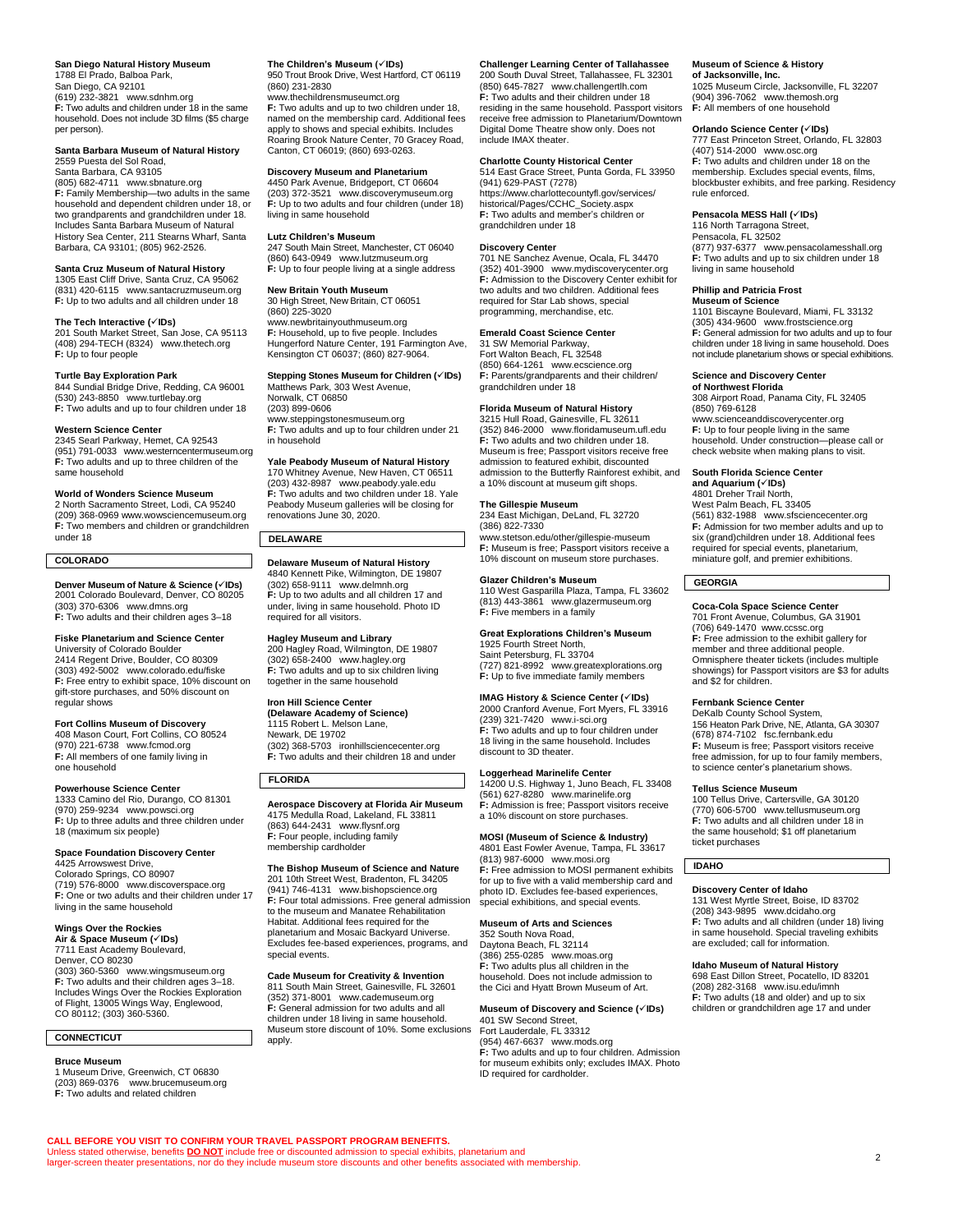# **San Diego Natural History Museum**

1788 El Prado, Balboa Park, San Diego, CA 92101 (619) 232-3821 [www.sdnhm.org](http://www.sdnhm.org/) **F:** Two adults and children under 18 in the same household. Does not include 3D films (\$5 charge per person).

### **Santa Barbara Museum of Natural History** 2559 Puesta del Sol Road,

Santa Barbara, CA 93105 (805) 682-4711 [www.sbnature.org](http://www.sbnature.org/) **F:** Family Membership—two adults in the same household and dependent children under 18, or two grandparents and grandchildren under 18. Includes Santa Barbara Museum of Natural History Sea Center, 211 Stearns Wharf, Santa Barbara, CA 93101; (805) 962-2526.

# **Santa Cruz Museum of Natural History** 1305 East Cliff Drive, Santa Cruz, CA 95062

(831) 420-6115 [www.santacruzmuseum.org](http://www.santacruzmuseum.org/) **F:** Up to two adults and all children under 18

# **The Tech Interactive (**✓**IDs)**

201 South Market Street, San Jose, CA 95113 (408) 294-TECH (8324) [www.thetech.org](http://www.thetech.org/) **F:** Up to four people

**Turtle Bay Exploration Park** 844 Sundial Bridge Drive, Redding, CA 96001 (530) 243-8850 [www.turtlebay.org](http://www.turtlebay.org/) **F:** Two adults and up to four children under 18

### **Western Science Center**

2345 Searl Parkway, Hemet, CA 92543 (951) 791-0033 [www.westerncentermuseum.org](http://www.westerncentermuseum.org/) **F:** Two adults and up to three children of the same household

# **World of Wonders Science Museum**

2 North Sacramento Street, Lodi, CA 95240 (209) 368-096[9 www.wowsciencemuseum.org](http://www.wowsciencemuseum.org/) **F:** Two members and children or grandchildren under 18

# **COLORADO**

**Denver Museum of Nature & Science (**✓**IDs)** 2001 Colorado Boulevard, Denver, CO 80205 (303) 370-6306 [www.dmns.org](http://www.dmns.org/) **F:** Two adults and their children ages 3–18

# **Fiske Planetarium and Science Center**

University of Colorado Boulder 2414 Regent Drive, Boulder, CO 80309 (303) 492-5002 [www.colorado.edu/fiske](https://www.colorado.edu/fiske/) **F:** Free entry to exhibit space, 10% discount on gift-store purchases, and 50% discount on regular shows

# **Fort Collins Museum of Discovery**

408 Mason Court, Fort Collins, CO 80524 (970) 221-6738 [www.fcmod.org](http://www.fcmod.org/) **F:** All members of one family living in one household

# **Powerhouse Science Center**

1333 Camino del Rio, Durango, CO 81301 (970) 259-9234 [www.powsci.org](http://www.powsci.org/) **F:** Up to three adults and three children under 18 (maximum six people)

## **Space Foundation Discovery Center**

4425 Arrowswest Drive, Colorado Springs, CO 80907 (719) 576-8000 [www.discoverspace.org](https://www.discoverspace.org/) **F:** One or two adults and their children under 17 living in the same household

# **Wings Over the Rockies**

**Air & Space Museum (√IDs)**<br>7711 East Academy Boulevard, Denver, CO 80230 (303) 360-5360 [www.wingsmuseum.org](http://www.wingsmuseum.org/) **F:** Two adults and their children ages 3–18. Includes Wings Over the Rockies Exploration of Flight, 13005 Wings Way, Englewood, CO 80112; (303) 360-5360.

# **CONNECTICUT Bruce Museum**

1 Museum Drive, Greenwich, CT 06830 (203) 869-0376 [www.brucemuseum.org](http://www.brucemuseum.org/) **F:** Two adults and related children

### **The Children's Museum (**✓**IDs)**

950 Trout Brook Drive, West Hartford, CT 06119 (860) 231-2830

[www.thechildrensmuseumct.org](http://www.thechildrensmuseumct.org/) **F:** Two adults and up to two children under 18, named on the membership card. Additional fees apply to shows and special exhibits. Includes Roaring Brook Nature Center, 70 Gracey Road, Canton, CT 06019; (860) 693-0263.

# **Discovery Museum and Planetarium**

4450 Park Avenue, Bridgeport, CT 06604 (203) 372-3521 [www.discoverymuseum.org](http://www.discoverymuseum.org/) **F:** Up to two adults and four children (under 18) living in same household

# **Lutz Children's Museum**

247 South Main Street, Manchester, CT 06040 (860) 643-0949 [www.lutzmuseum.org](http://www.lutzmuseum.org/) **F:** Up to four people living at a single address

# **New Britain Youth Museum** 30 High Street, New Britain, CT 06051

(860) 225-3020 [www.newbritainyouthmuseum.org](https://www.newbritainyouthmuseum.org/) **F:** Household, up to five people. Includes Hungerford Nature Center, 191 Farmington Ave, Kensington CT 06037; (860) 827-9064.

### **Stepping Stones Museum for Children (**✓**IDs)** Matthews Park, 303 West Avenue, Norwalk, CT 06850

(203) 899-0606 [www.steppingstonesmuseum.org](http://www.steppingstonesmuseum.org/) **F:** Two adults and up to four children under 21 in household

# **Yale Peabody Museum of Natural History** 170 Whitney Avenue, New Haven, CT 06511

(203) 432-8987 [www.peabody.yale.edu](http://www.peabody.yale.edu/) **F:** Two adults and two children under 18. Yale Peabody Museum galleries will be closing for renovations June 30, 2020.

# **DELAWARE**

**Delaware Museum of Natural History<br>4840 Kennett Pike, Wilmington, DE 19807<br>(302) 658-9111 [www.delmnh.org](http://www.delmnh.org/)<br><b>F**: Up to two adults and all children 17 and under, living in same household. Photo ID required for all visitors.

# **Hagley Museum and Library**

200 Hagley Road, Wilmington, DE 19807 (302) 658-2400 [www.hagley.org](http://www.hagley.org/) **F:** Two adults and up to six children living together in the same household

# **Iron Hill Science Center**

**(Delaware Academy of Science)** 1115 Robert L. Melson Lane, Newark, DE 19702 (302) 368-5703 [ironhillsciencecenter.org](http://ironhillsciencecenter.org/) **F:** Two adults and their children 18 and under

# **FLORIDA**

**CALL BEFORE YOU VISIT TO CONFIRM YOUR TRAVEL PASSPORT PROGRAM BENEFITS.**

Unless stated otherwise, benefits <mark>DO NOT</mark> include free or discounted admission to special exhibits, planetarium and<br>larger-screen theater presentations, nor do they include museum store discounts and other benefits associ

**Aerospace Discovery at Florida Air Museum** 4175 Medulla Road, Lakeland, FL 33811 (863) 644-2431 [www.flysnf.org](https://www.flysnf.org/) **F:** Four people, including family membership cardholder

# **The Bishop Museum of Science and Nature**

201 10th Street West, Bradenton, FL 34205 (941) 746-4131 [www.bishopscience.org](http://www.bishopscience.org/) **F:** Four total admissions. Free general admission to the museum and Manatee Rehabilitation Habitat. Additional fees required for the planetarium and Mosaic Backyard Universe. Excludes fee-based experiences, programs, and special events.

**Cade Museum for Creativity & Invention** 811 South Main Street, Gainesville, FL 32601 (352) 371-8001 [www.cademuseum.org](http://www.cademuseum.org/) **F:** General admission for two adults and all children under 18 living in same household. Museum store discount of 10%. Some exclusions apply.

# **Challenger Learning Center of Tallahassee** 200 South Duval Street, Tallahassee, FL 32301 (850) 645-7827 [www.challengertlh.com](http://www.challengertlh.com/) **F:** Two adults and their children under 18 residing in the same household. Passport visitors receive free admission to Planetarium/Downtown Digital Dome Theatre show only. Does not include IMAX theater.

# **Charlotte County Historical Center**

514 East Grace Street, Punta Gorda, FL 33950 (941) 629-PAST (7278) [https://www.charlottecountyfl.gov/services/](https://www.charlottecountyfl.gov/services/historical/Pages/CCHC_Society.aspx) [historical/Pages/CCHC\\_Society.aspx](https://www.charlottecountyfl.gov/services/historical/Pages/CCHC_Society.aspx) **F:** Two adults and member's children or grandchildren under 18

### **Discovery Center**

701 NE Sanchez Avenue, Ocala, FL 34470 (352) 401-3900 [www.mydiscoverycenter.org](http://www.mydiscoverycenter.org/) **F:** Admission to the Discovery Center exhibit for two adults and two children. Additional fees required for Star Lab shows, special programming, merchandise, etc.

# **Emerald Coast Science Center**

31 SW Memorial Parkway, Fort Walton Beach, FL 32548 (850) 664-1261 [www.ecscience.org](http://www.ecscience.org/) **F:** Parents/grandparents and their children/ grandchildren under 18

# **Florida Museum of Natural History**

3215 Hull Road, Gainesville, FL 32611  $(352)$  846-2000 [www.floridamuseum.ufl.edu](https://www.floridamuseum.ufl.edu/) **F:** Two adults and two children under 18. Museum is free; Passport visitors receive free admission to featured exhibit, discounted admission to the Butterfly Rainforest exhibit, and a 10% discount at museum gift shops.

# **The Gillespie Museum**

234 East Michigan, DeLand, FL 32720 (386) 822-7330 [www.stetson.edu/other/gillespie-museum](http://www.stetson.edu/other/gillespie-museum) **F:** Museum is free; Passport visitors receive a 10% discount on museum store purchases.

# **Glazer Children's Museum**

110 West Gasparilla Plaza, Tampa, FL 33602 (813) 443-3861 [www.glazermuseum.org](http://www.glazermuseum.org/) **F:** Five members in a family

# **Great Explorations Children's Museum**

# 1925 Fourth Street North, Saint Petersburg, FL 33704

(727) 821-8992 [www.greatexplorations.org](http://www.greatexplorations.org/) **F:** Up to five immediate family members **IMAG History & Science Center (**✓**IDs)**

2000 Cranford Avenue, Fort Myers, FL 33916 (239) 321-7420 [www.i-sci.org](http://www.i-sci.org/) **F:** Two adults and up to four children under 18 living in the same household. Includes discount to 3D theater.

# **Loggerhead Marinelife Center**

14200 U.S. Highway 1, Juno Beach, FL 33408 (561) 627-8280 [www.marinelife.org](http://www.marinelife.org/) **F:** Admission is free; Passport visitors receive a 10% discount on store purchases.

# **MOSI (Museum of Science & Industry)**

4801 East Fowler Avenue, Tampa, FL 33617 (813) 987-6000 [www.mosi.org](http://www.mosi.org/) **F:** Free admission to MOSI permanent exhibits for up to five with a valid membership card and photo ID. Excludes fee-based experiences, special exhibitions, and special events.

# **Museum of Arts and Sciences**

352 South Nova Road, Daytona Beach, FL 32114 (386) 255-0285 [www.moas.org](http://www.moas.org/) **F:** Two adults plus all children in the household. Does not include admission to the Cici and Hyatt Brown Museum of Art.

### **Museum of Discovery and Science (**✓**IDs)** 401 SW Second Street,

Fort Lauderdale, FL 33312 (954) 467-6637 [www.mods.org](http://www.mods.org/) **F:** Two adults and up to four children. Admission for museum exhibits only; excludes IMAX. Photo ID required for cardholder.

# **Museum of Science & History**

**of Jacksonville, Inc.** 1025 Museum Circle, Jacksonville, FL 32207 (904) 396-7062 [www.themosh.org](http://www.themosh.org/) **F:** All members of one household

# **Orlando Science Center (**✓**IDs)**

777 East Princeton Street, Orlando, FL 32803 (407) 514-2000 [www.osc.org](http://www.osc.org/) **F:** Two adults and children under 18 on the membership. Excludes special events, films, blockbuster exhibits, and free parking. Residency rule enforced.

# **Pensacola MESS Hall (**✓**IDs)**

116 North Tarragona Street, Pensacola, FL 32502 (877) 937-6377 [www.pensacolamesshall.org](http://www.pensacolamesshall.org/) **F:** Two adults and up to six children under 18 living in same household

# **Phillip and Patricia Frost**

**Museum of Science** 1101 Biscayne Boulevard, Miami, FL 33132 (305) 434-9600 [www.frostscience.org](http://www.frostscience.org/) **F:** General admission for two adults and up to four children under 18 living in same household. Does not include planetarium shows or special exhibitions.

# **Science and Discovery Center of Northwest Florida**

308 Airport Road, Panama City, FL 32405 (850) 769-6128 [www.scienceanddiscoverycenter.org](http://www.scienceanddiscoverycenter.org/) **F:** Up to four people living in the same household. Under construction—please call or check website when making plans to visit.

# **South Florida Science Center**

**and Aquarium (**✓**IDs)** 4801 Dreher Trail North, West Palm Beach, FL 33405 (561) 832-1988 [www.sfsciencecenter.org](http://www.sfsciencecenter.org/) **F:** Admission for two member adults and up to six (grand)children under 18. Additional fees required for special events, planetarium, miniature golf, and premier exhibitions.

# **GEORGIA**

# **Coca-Cola Space Science Center**

701 Front Avenue, Columbus, GA 31901 (706) 649-1470 [www.ccssc.org](http://www.ccssc.org/) **F:** Free admission to the exhibit gallery for member and three additional people. Omnisphere theater tickets (includes multiple showings) for Passport visitors are \$3 for adults and \$2 for children.

# **Fernbank Science Center**

DeKalb County School System, 156 Heaton Park Drive, NE, Atlanta, GA 30307 (678) 874-7102 [fsc.fernbank.edu](http://fsc.fernbank.edu/) **F:** Museum is free; Passport visitors receive free admission, for up to four family members, to science center's planetarium shows.

# **Tellus Science Museum**

100 Tellus Drive, Cartersville, GA 30120 (770) 606-5700 [www.tellusmuseum.org](http://www.tellusmuseum.org/) **F:** Two adults and all children under 18 in the same household; \$1 off planetarium ticket purchases

# **IDAHO**

**Discovery Center of Idaho** 131 West Myrtle Street, Boise, ID 83702 (208) 343-9895 [www.dcidaho.org](http://www.dcidaho.org/) **F:** Two adults and all children (under 18) living in same household. Special traveling exhibits are excluded; call for information.

2

# **Idaho Museum of Natural History**<br>698 East Dillon Street, Pocatello, ID 83201<br>(208) 282-3168 [www.isu.edu/imnh](https://www.isu.edu/imnh/)

**F:** Two adults (18 and older) and up to six children or grandchildren age 17 and under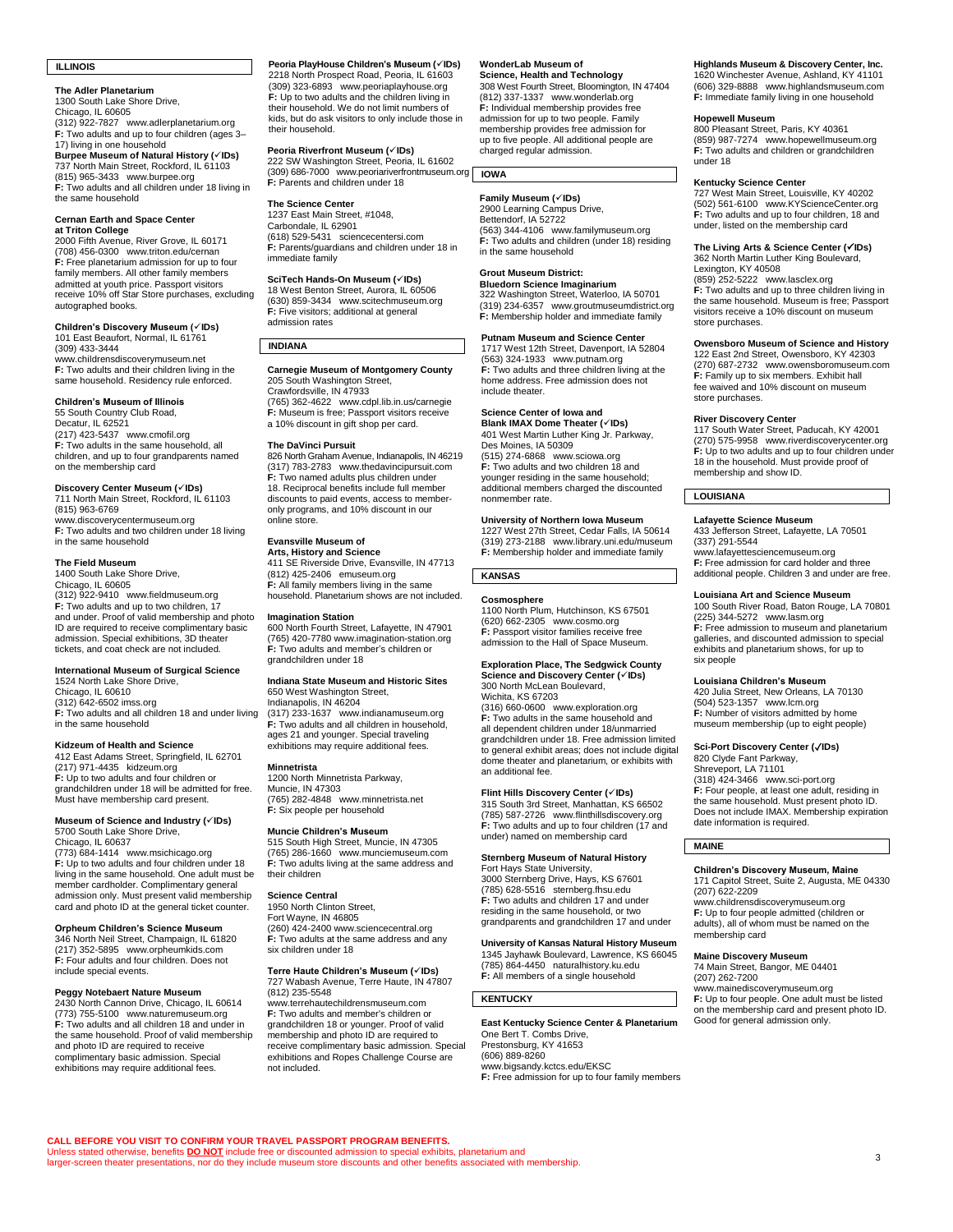# **ILLINOIS**

**The Adler Planetarium**

1300 South Lake Shore Drive, Chicago, IL 60605 (312) 922-7827 [www.adlerplanetarium.org](http://www.adlerplanetarium.org/) **F:** Two adults and up to four children (ages 3– 17) living in one household **Burpee Museum of Natural History (**✓**IDs)** 737 North Main Street, Rockford, IL 61103 (815) 965-3433 [www.burpee.org](http://www.burpee.org/) **F:** Two adults and all children under 18 living in the same household

### **Cernan Earth and Space Center at Triton College**

2000 Fifth Avenue, River Grove, IL 60171 (708) 456-0300 [www.triton.edu/cernan](https://www.triton.edu/cernan) **F:** Free planetarium admission for up to four family members. All other family members admitted at youth price. Passport visitors receive 10% off Star Store purchases, excluding autographed books.

### **Children's Discovery Museum (**✓**IDs)** 101 East Beaufort, Normal, IL 61761

(309) 433-3444 [www.childrensdiscoverymuseum.net](http://www.childrensdiscoverymuseum.net/) **F:** Two adults and their children living in the

same household. Residency rule enforced.

**Children's Museum of Illinois** 55 South Country Club Road, Decatur, IL 62521 (217) 423-5437 [www.cmofil.org](http://www.cmofil.org/) **F:** Two adults in the same household, all children, and up to four grandparents named

# on the membership card **Discovery Center Museum (**✓**IDs)**

711 North Main Street, Rockford, IL 61103 (815) 963-6769 [www.discoverycentermuseum.org](http://www.discoverycentermuseum.org/) **F:** Two adults and two children under 18 living in the same household

**The Field Museum** 1400 South Lake Shore Drive, Chicago, IL 60605 (312) 922-9410 [www.fieldmuseum.org](http://www.fieldmuseum.org/) F: Two adults and up to two children, 17 and under. Proof of valid membership and photo

ID are required to receive complimentary basic admission. Special exhibitions, 3D theater tickets, and coat check are not included.

# **International Museum of Surgical Science**

1524 North Lake Shore Drive, Chicago, IL 60610 (312) 642-650[2 imss.org](https://imss.org/) **F:** Two adults and all children 18 and under living

in the same household

### **Kidzeum of Health and Science** 412 East Adams Street, Springfield, IL 62701

(217) 971-4435 [kidzeum.org](https://kidzeum.org/) **F:** Up to two adults and four children or grandchildren under 18 will be admitted for free. Must have membership card present.

**Museum of Science and Industry (**✓**IDs)** 5700 South Lake Shore Drive, Chicago, IL 60637

(773) 684-1414 [www.msichicago.org](http://www.msichicago.org/) **F:** Up to two adults and four children under 18 living in the same household. One adult must be member cardholder. Complimentary general admission only. Must present valid membership card and photo ID at the general ticket counter.

# **Orpheum Children's Science Museum**

346 North Neil Street, Champaign, IL 61820 (217) 352-5895 [www.orpheumkids.com](http://www.orpheumkids.com/) **F:** Four adults and four children. Does not include special events.

**Peggy Notebaert Nature Museum** 2430 North Cannon Drive, Chicago, IL 60614 (773) 755-5100 [www.naturemuseum.org](http://www.naturemuseum.org/) **F:** Two adults and all children 18 and under in the same household. Proof of valid membership and photo ID are required to receive complimentary basic admission. Special exhibitions may require additional fees.

**Peoria PlayHouse Children's Museum (**✓**IDs)** 2218 North Prospect Road, Peoria, IL 61603 (309) 323-6893 [www.peoriaplayhouse.org](http://www.peoriaplayhouse.org/) **F**: Up to two adults and the children living in their household. We do not limit numbers of kids, but do ask visitors to only include those in their household.

# **Peoria Riverfront Museum (√IDs)**<br>222 SW Washington Street, Peoria, IL 61602<br>(309) 686-7000 [www.peoriariverfrontmuseum.org](http://www.peoriariverfrontmuseum.org/)

**F:** Parents and children under 18

**The Science Center** 1237 East Main Street, #1048, Carbondale, IL 62901 (618) 529-5431 [sciencecentersi.com](https://sciencecentersi.com/) **F:** Parents/guardians and children under 18 in immediate family

**SciTech Hands-On Museum (**✓**IDs)** 18 West Benton Street, Aurora, IL 60506 (630) 859-3434 [www.scitechmuseum.org](http://www.scitechmuseum.org/) **F:** Five visitors; additional at general admission rates

# **INDIANA**

**Carnegie Museum of Montgomery County** 205 South Washington Street, Crawfordsville, IN 47933 (765) 362-4622 [www.cdpl.lib.in.us/carnegie](http://www.cdpl.lib.in.us/carnegie) **F:** Museum is free; Passport visitors receive a 10% discount in gift shop per card.

### **The DaVinci Pursuit**

826 North Graham Avenue, Indianapolis, IN 46219 (317) 783-2783 [www.thedavincipursuit.com](https://www.thedavincipursuit.com/) **F:** Two named adults plus children under 18. Reciprocal benefits include full member discounts to paid events, access to memberonly programs, and 10% discount in our online store.

# **Evansville Museum of**

**Arts, History and Science** 411 SE Riverside Drive, Evansville, IN 47713 (812) 425-2406 [emuseum.org](https://emuseum.org/) **F:** All family members living in the same household. Planetarium shows are not included.

### **Imagination Station**

600 North Fourth Street, Lafayette, IN 47901 (765) 420-778[0 www.imagination-station.org](http://www.imagination-station.org/) **F:** Two adults and member's children or grandchildren under 18

# **Indiana State Museum and Historic Sites**

650 West Washington Street, Indianapolis, IN 46204 (317) 233-1637 [www.indianamuseum.org](http://www.indianamuseum.org/) **F:** Two adults and all children in household, ages 21 and younger. Special traveling exhibitions may require additional fees.

# **Minnetrista**

1200 North Minnetrista Parkway, Muncie, IN 47303 (765) 282-4848 [www.minnetrista.net](http://www.minnetrista.net/) **F:** Six people per household

## **Muncie Children's Museum**

515 South High Street, Muncie, IN 47305 (765) 286-1660 [www.munciemuseum.com](http://www.munciemuseum.com/) **F:** Two adults living at the same address and their children

# **Science Central**

**CALL BEFORE YOU VISIT TO CONFIRM YOUR TRAVEL PASSPORT PROGRAM BENEFITS.**

Unless stated otherwise, benefits <mark>DO NOT</mark> include free or discounted admission to special exhibits, planetarium and<br>larger-screen theater presentations, nor do they include museum store discounts and other benefits associ

1950 North Clinton Street, Fort Wayne, IN 46805 (260) 424-240[0 www.sciencecentral.org](http://www.sciencecentral.org/) **F:** Two adults at the same address and any six children under 18

# **Terre Haute Children's Museum (**✓**IDs)** 727 Wabash Avenue, Terre Haute, IN 47807

(812) 235-5548 [www.terrehautechildrensmuseum.com](http://www.terrehautechildrensmuseum.com/) **F:** Two adults and member's children or grandchildren 18 or younger. Proof of valid membership and photo ID are required to receive complimentary basic admission. Special exhibitions and Ropes Challenge Course are not included.

# **WonderLab Museum of**

**Science, Health and Technology** 308 West Fourth Street, Bloomington, IN 47404 (812) 337-1337 [www.wonderlab.org](http://www.wonderlab.org/) **F:** Individual membership provides free admission for up to two people. Family membership provides free admission for up to five people. All additional people are charged regular admission.

# **IOWA**

**Family Museum (**✓**IDs)** 2900 Learning Campus Drive, Bettendorf, IA 52722 (563) 344-4106 [www.familymuseum.org](http://www.familymuseum.org/) **F:** Two adults and children (under 18) residing in the same household

# **Grout Museum District:**

**Bluedorn Science Imaginarium** 322 Washington Street, Waterloo, IA 50701

(319) 234-6357 [www.groutmuseumdistrict.org](http://www.groutmuseumdistrict.org/) **F:** Membership holder and immediate family

# **Putnam Museum and Science Center**

1717 West 12th Street, Davenport, IA 52804 (563) 324-1933 [www.putnam.org](http://www.putnam.org/) **F:** Two adults and three children living at the home address. Free admission does not include theater.

# **Science Center of Iowa and**

**Blank IMAX Dome Theater (**✓**IDs)** 401 West Martin Luther King Jr. Parkway, Des Moines, IA 50309

(515) 274-6868 [www.sciowa.org](http://www.sciowa.org/) **F:** Two adults and two children 18 and<br>younger residing in the same household; additional members charged the discounted nonmember rate.

# **University of Northern Iowa Museum**

1227 West 27th Street, Cedar Falls, IA 50614 (319) 273-2188 [www.library.uni.edu/museum](http://www.library.uni.edu/museum) **F:** Membership holder and immediate family

# **KANSAS**

**Cosmosphere** 1100 North Plum, Hutchinson, KS 67501 (620) 662-2305 [www.cosmo.org](http://www.cosmo.org/) **F:** Passport visitor families receive free admission to the Hall of Space Museum.

# **Exploration Place, The Sedgwick County Science and Discovery Center (**✓**IDs)** 300 North McLean Boulevard,

Wichita, KS 67203 (316) 660-0600 [www.exploration.org](http://www.exploration.org/) **F:** Two adults in the same household and all dependent children under 18/unmarried grandchildren under 18. Free admission limited to general exhibit areas; does not include digital dome theater and planetarium, or exhibits with an additional fee.

**Flint Hills Discovery Center (√IDs)**<br>315 South 3rd Street, Manhattan, KS 66502<br>(785) 587-2726 [www.flinthillsdiscovery.org](http://www.flinthillsdiscovery.org/) **F:** Two adults and up to four children (17 and under) named on membership card

# **Sternberg Museum of Natural History**

Fort Hays State University, 3000 Sternberg Drive, Hays, KS 67601 (785) 628-5516 [sternberg.fhsu.edu](http://sternberg.fhsu.edu/) **F:** Two adults and children 17 and under residing in the same household, or two grandparents and grandchildren 17 and under

# **University of Kansas Natural History Museum**

1345 Jayhawk Boulevard, Lawrence, KS 66045 (785) 864-4450 [naturalhistory.ku.edu](http://naturalhistory.ku.edu/) **F:** All members of a single household

# **KENTUCKY**

**East Kentucky Science Center & Planetarium**<br>One Bert T. Combs Drive,<br>Prestonsburg, KY 41653 (606) 889-8260 [www.bigsandy.kctcs.edu/EKSC](http://www.bigsandy.kctcs.edu/EKSC) **F:** Free admission for up to four family members

### **Highlands Museum & Discovery Center, Inc.** 1620 Winchester Avenue, Ashland, KY 41101 (606) 329-8888 [www.highlandsmuseum.com](http://www.highlandsmuseum.com/) **F:** Immediate family living in one household

# **Hopewell Museum**

800 Pleasant Street, Paris, KY 40361 (859) 987-7274 [www.hopewellmuseum.org](http://www.hopewellmuseum.org/) **F:** Two adults and children or grandchildren under 18

**Kentucky Science Center** 727 West Main Street, Louisville, KY 40202 (502) 561-6100 [www.KYScienceCenter.org](http://www.kysciencecenter.org/) **F:** Two adults and up to four children, 18 and under, listed on the membership card

# **The Living Arts & Science Center (**✓**IDs)** 362 North Martin Luther King Boulevard, Lexington, KY 40508

(859) 252-5222 [www.lasclex.org](http://www.lasclex.org/)

**F:** Two adults and up to three children living in the same household. Museum is free; Passport visitors receive a 10% discount on museum store purchases.

# **Owensboro Museum of Science and History**

122 East 2nd Street, Owensboro, KY 42303 (270) 687-2732 [www.owensboromuseum.com](http://www.owensboromuseum.com/) **F:** Family up to six members. Exhibit hall fee waived and 10% discount on museum store purchases.

**River Discovery Center** 117 South Water Street, Paducah, KY 42001 (270) 575-9958 [www.riverdiscoverycenter.org](http://www.riverdiscoverycenter.org/) **F:** Up to two adults and up to four children under 18 in the household. Must provide proof of membership and show ID.

# **LOUISIANA**

### **Lafayette Science Museum**

433 Jefferson Street, Lafayette, LA 70501 (337) 291-5544 [www.lafayettesciencemuseum.org](http://www.lafayettesciencemuseum.org/)

**F:** Free admission for card holder and three additional people. Children 3 and under are free.

# **Louisiana Art and Science Museum**

100 South River Road, Baton Rouge, LA 70801 (225) 344-5272 [www.lasm.org](http://www.lasm.org/) **F:** Free admission to museum and planetarium galleries, and discounted admission to special exhibits and planetarium shows, for up to six people

### **Louisiana Children's Museum**

420 Julia Street, New Orleans, LA 70130 (504) 523-1357 [www.lcm.org](http://www.lcm.org/) **F:** Number of visitors admitted by home museum membership (up to eight people)

# **Sci-Port Discovery Center (**✓**IDs)**

820 Clyde Fant Parkway, Shreveport, LA 71101 (318) 424-3466 [www.sci-port.org](https://www.sci-port.org/) **F:** Four people, at least one adult, residing in the same household. Must present photo ID. Does not include IMAX. Membership expiration date information is required.

# **MAINE**

membership card

(207) 262-7200

### **Children's Discovery Museum, Maine** 171 Capitol Street, Suite 2, Augusta, ME 04330 (207) 622-2209 [www.childrensdiscoverymuseum.org](http://www.childrensdiscoverymuseum.org/)

**F:** Up to four people admitted (children or adults), all of whom must be named on the

[www.mainediscoverymuseum.org](http://www.mainediscoverymuseum.org/) **F:** Up to four people. One adult must be listed on the membership card and present photo ID. Good for general admission only.

**Maine Discovery Museum** 74 Main Street, Bangor, ME 04401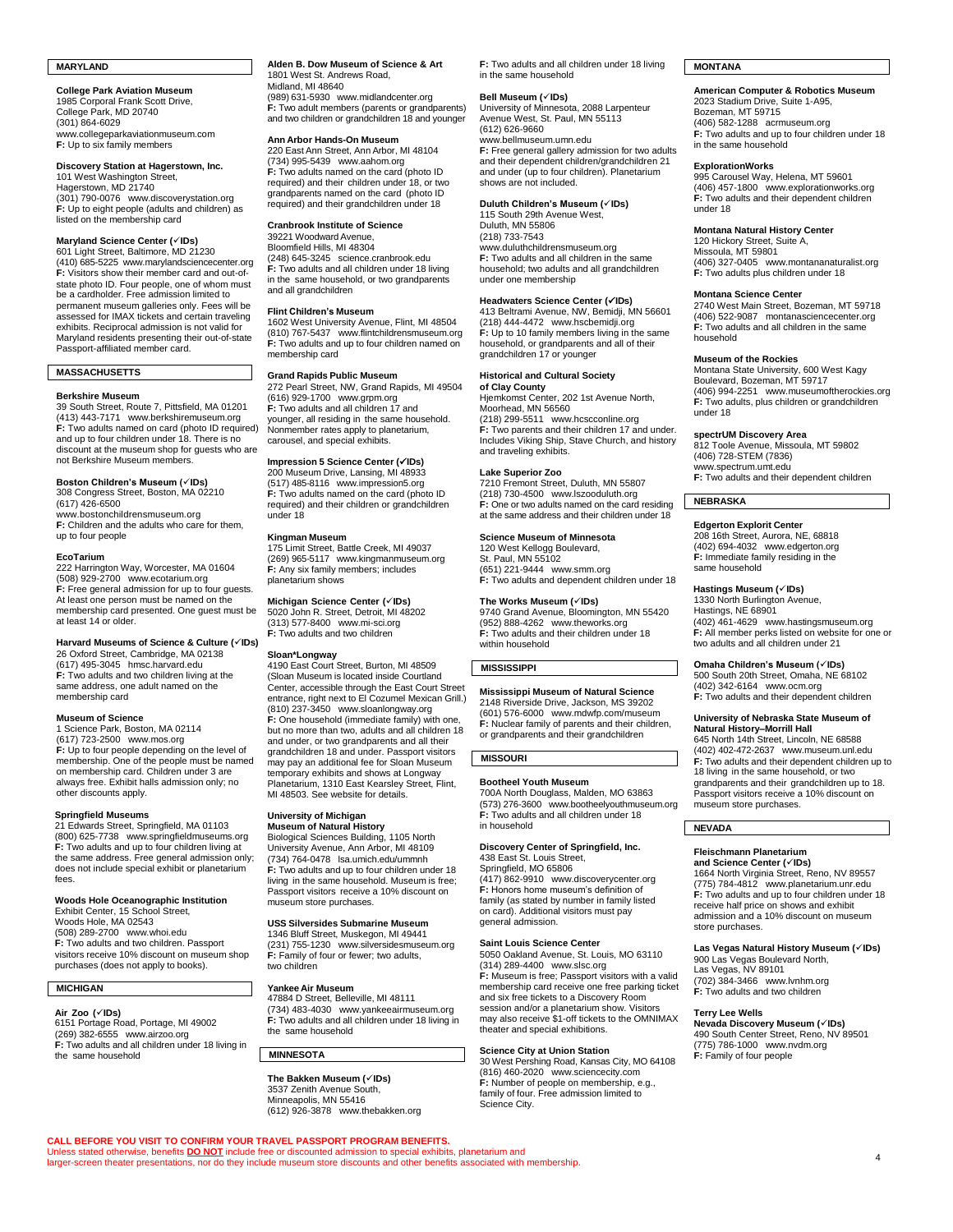# **MARYLAND**

**College Park Aviation Museum** 1985 Corporal Frank Scott Drive, College Park, MD 20740 (301) 864-6029 [www.collegeparkaviationmuseum.com](http://www.collegeparkaviationmuseum.com/) **F:** Up to six family members

# **Discovery Station at Hagerstown, Inc.**

101 West Washington Street, Hagerstown, MD 21740 (301) 790-0076 [www.discoverystation.org](https://discoverystation.org/) **F:** Up to eight people (adults and children) as listed on the membership card

# **Maryland Science Center (**✓**IDs)** 601 Light Street, Baltimore, MD 21230

(410) 685-5225 [www.marylandsciencecenter.org](http://www.marylandsciencecenter.org/) **F:** Visitors show their member card and out-ofstate photo ID. Four people, one of whom must be a cardholder. Free admission limited to permanent museum galleries only. Fees will be assessed for IMAX tickets and certain traveling exhibits. Reciprocal admission is not valid for Maryland residents presenting their out-of-state Passport-affiliated member card.

# **MASSACHUSETTS**

### **Berkshire Museum**

39 South Street, Route 7, Pittsfield, MA 01201 (413) 443-7171 [www.berkshiremuseum.org](http://www.berkshiremuseum.org/) **F:** Two adults named on card (photo ID required) and up to four children under 18. There is no discount at the museum shop for guests who are not Berkshire Museum members.

**Boston Children's Museum (✓IDs)**<br>308 Congress Street, Boston, MA 02210<br>(617) 426-6500 [www.bostonchildrensmuseum.org](http://www.bostonchildrensmuseum.org/)

**F:** Children and the adults who care for them, up to four people

### **EcoTarium**

222 Harrington Way, Worcester, MA 01604 (508) 929-2700 [www.ecotarium.org](http://www.ecotarium.org/) **F:** Free general admission for up to four guests. At least one person must be named on the membership card presented. One guest must be at least 14 or older.

**Harvard Museums of Science & Culture (**✓**IDs)** 26 Oxford Street, Cambridge, MA 02138 (617) 495-3045 [hmsc.harvard.edu](http://hmsc.harvard.edu/) **F:** Two adults and two children living at the same address, one adult named on the membership card

# **Museum of Science**

1 Science Park, Boston, MA 02114 (617) 723-2500 [www.mos.org](http://www.mos.org/) **F:** Up to four people depending on the level of membership. One of the people must be named on membership card. Children under 3 are always free. Exhibit halls admission only; no other discounts apply.

## **Springfield Museums**

21 Edwards Street, Springfield, MA 01103 (800) 625-7738 [www.springfieldmuseums.org](http://www.springfieldmuseums.org/) **F:** Two adults and up to four children living at the same address. Free general admission only; does not include special exhibit or planetarium fees.

# **Woods Hole Oceanographic Institution**<br>Exhibit Center, 15 School Street,<br>Woods Hole, MA 02543

(508) 289-2700 [www.whoi.edu](http://www.whoi.edu/) **F:** Two adults and two children. Passport visitors receive 10% discount on museum shop purchases (does not apply to books).

# **MICHIGAN**

**Air Zoo (**✓**IDs)** 6151 Portage Road, Portage, MI 49002 (269) 382-6555 [www.airzoo.org](http://www.airzoo.org/) **F:** Two adults and all children under 18 living in the same household

### **Alden B. Dow Museum of Science & Art** 1801 West St. Andrews Road, Midland, MI 48640

(989) 631-5930 [www.midlandcenter.org](http://www.midlandcenter.org/) **F:** Two adult members (parents or grandparents) and two children or grandchildren 18 and younger

# **Ann Arbor Hands-On Museum**

220 East Ann Street, Ann Arbor, MI 48104 (734) 995-5439 [www.aahom.org](http://www.aahom.org/) **F:** Two adults named on the card (photo ID required) and their children under 18, or two grandparents named on the card (photo ID required) and their grandchildren under 18

## **Cranbrook Institute of Science**

39221 Woodward Avenue Bloomfield Hills, MI 48304 (248) 645-3245 [science.cranbrook.edu](http://science.cranbrook.edu/) **F:** Two adults and all children under 18 living in the same household, or two grandparents and all grandchildren

### **Flint Children's Museum**

1602 West University Avenue, Flint, MI 48504 (810) 767-5437 [www.flintchildrensmuseum.org](http://www.flintchildrensmuseum.org/) **F:** Two adults and up to four children named on membership card

# **Grand Rapids Public Museum**

272 Pearl Street, NW, Grand Rapids, MI 49504 (616) 929-1700 [www.grpm.org](http://www.grpm.org/) **F:** Two adults and all children 17 and younger, all residing in the same household. Nonmember rates apply to planetarium, carousel, and special exhibits.

# **Impression 5 Science Center (**✓**IDs)** 200 Museum Drive, Lansing, MI 48933

(517) 485-8116 [www.impression5.org](http://www.impression5.org/) **F:** Two adults named on the card (photo ID required) and their children or grandchildren under 18

# **Kingman Museum**

175 Limit Street, Battle Creek, MI 49037 (269) 965-5117 [www.kingmanmuseum.org](http://www.kingmanmuseum.org/) **F:** Any six family members; includes planetarium shows

# **Michigan Science Center (**✓**IDs)**

5020 John R. Street, Detroit, MI 48202 (313) 577-8400 [www.mi-sci.org](http://www.mi-sci.org/) **F:** Two adults and two children

### **Sloan\*Longway**

4190 East Court Street, Burton, MI 48509 (Sloan Museum is located inside Courtland Center, accessible through the East Court Street entrance, right next to El Cozumel Mexican Grill.) (810) 237-3450 [www.sloanlongway.org](http://www.sloanlongway.org/) **F:** One household (immediate family) with one, but no more than two, adults and all children 18 and under, or two grandparents and all their grandchildren 18 and under. Passport visitors may pay an additional fee for Sloan Museum temporary exhibits and shows at Longway Planetarium, 1310 East Kearsley Street, Flint, MI 48503. See website for details.

### **University of Michigan Museum of Natural History**

Biological Sciences Building, 1105 North University Avenue, Ann Arbor, MI 48109 (734) 764-0478 [lsa.umich.edu/ummnh](https://lsa.umich.edu/ummnh) **F:** Two adults and up to four children under 18 living in the same household. Museum is free; Passport visitors receive a 10% discount on museum store purchases.

# **USS Silversides Submarine Museum**

1346 Bluff Street, Muskegon, MI 49441 (231) 755-1230 [www.silversidesmuseum.org](http://www.silversidesmuseum.org/) **F:** Family of four or fewer; two adults, two children

## **Yankee Air Museum**

47884 D Street, Belleville, MI 48111 (734) 483-4030 [www.yankeeairmuseum.org](http://www.yankeeairmuseum.org/) **F:** Two adults and all children under 18 living in the same household

# **MINNESOTA**

Unless stated otherwise, benefits <mark>DO NOT</mark> include free or discounted admission to special exhibits, planetarium and<br>larger-screen theater presentations, nor do they include museum store discounts and other benefits associ

**CALL BEFORE YOU VISIT TO CONFIRM YOUR TRAVEL PASSPORT PROGRAM BENEFITS.**

**The Bakken Museum (**✓**IDs)** 3537 Zenith Avenue South, Minneapolis, MN 55416  $(612)$  926-3878 [www.thebakken.org](http://www.thebakken.org/) **F:** Two adults and all children under 18 living in the same household

**Bell Museum (✓IDs)**<br>University of Minnesota, 2088 Larpenteur Avenue West, St. Paul, MN 55113 (612) 626-9660 [www.bellmuseum.umn.edu](https://www.bellmuseum.umn.edu/) **F:** Free general gallery admission for two adults and their dependent children/grandchildren 21 and under (up to four children). Planetarium shows are not included.

**Duluth Children's Museum (**✓**IDs)** 115 South 29th Avenue West, Duluth, MN 55806 (218) 733-7543 [www.duluthchildrensmuseum.org](http://www.duluthchildrensmuseum.org/) **F:** Two adults and all children in the same household; two adults and all grandchildren under one membership

# **Headwaters Science Center (**✓**IDs)**

413 Beltrami Avenue, NW, Bemidji, MN 56601 (218) 444-4472 [www.hscbemidji.org](http://www.hscbemidji.org/) **F:** Up to 10 family members living in the same household, or grandparents and all of their grandchildren 17 or younger

# **Historical and Cultural Society of Clay County**

Hjemkomst Center, 202 1st Avenue North, Moorhead, MN 56560 (218) 299-5511 [www.hcscconline.org](http://www.hcscconline.org/) **F:** Two parents and their children 17 and under. Includes Viking Ship, Stave Church, and history and traveling exhibits.

# **Lake Superior Zoo**

7210 Fremont Street, Duluth, MN 55807 (218) 730-4500 [www.lszooduluth.org](http://www.lszooduluth.org/) **F:** One or two adults named on the card residing at the same address and their children under 18

### **Science Museum of Minnesota** 120 West Kellogg Boulevard,

St. Paul, MN 55102 (651) 221-9444 [www.smm.org](http://www.smm.org/) **F:** Two adults and dependent children under 18

### **The Works Museum (**✓**IDs)**

9740 Grand Avenue, Bloomington, MN 55420 (952) 888-4262 [www.theworks.org](http://www.theworks.org/) **F:** Two adults and their children under 18 within household

# **MISSISSIPPI**

**Mississippi Museum of Natural Science** 2148 Riverside Drive, Jackson, MS 39202 (601) 576-6000 [www.mdwfp.com/museum](http://www.mdwfp.com/museum) **F:** Nuclear family of parents and their children, or grandparents and their grandchildren

# **MISSOURI**

### **Bootheel Youth Museum**

700A North Douglass, Malden, MO 63863 (573) 276-3600 [www.bootheelyouthmuseum.org](http://www.bootheelyouthmuseum.org/) **F:** Two adults and all children under 18 in household

# **Discovery Center of Springfield, Inc.**<br>438 East St. Louis Street,<br>Springfield, MO 65806

(417) 862-9910 [www.discoverycenter.org](http://www.discoverycenter.org/) **F:** Honors home museum's definition of family (as stated by number in family listed on card). Additional visitors must pay general admission.

# **Saint Louis Science Center**

5050 Oakland Avenue, St. Louis, MO 63110 (314) 289-4400 [www.slsc.org](http://www.slsc.org/) **F:** Museum is free; Passport visitors with a valid membership card receive one free parking ticket and six free tickets to a Discovery Room session and/or a planetarium show. Visitors may also receive \$1-off tickets to the OMNIMAX theater and special exhibitions.

# **Science City at Union Station**

30 West Pershing Road, Kansas City, MO 64108 (816) 460-2020 [www.sciencecity.com](http://www.sciencecity.com/) **F:** Number of people on membership, e.g., family of four. Free admission limited to Science City.

# **MONTANA**

**American Computer & Robotics Museum** 2023 Stadium Drive, Suite 1-A95, Bozeman, MT 59715 (406) 582-1288 [acrmuseum.org](https://acrmuseum.org/) **F:** Two adults and up to four children under 18 in the same household

### **ExplorationWorks**

995 Carousel Way, Helena, MT 59601 (406) 457-1800 [www.explorationworks.org](http://www.explorationworks.org/) **F:** Two adults and their dependent children under 18

### **Montana Natural History Center**

120 Hickory Street, Suite A, Missoula, MT 59801 (406) 327-0405 [www.montananaturalist.org](http://www.montananaturalist.org/) **F:** Two adults plus children under 18

### **Montana Science Center**

2740 West Main Street, Bozeman, MT 59718 (406) 522-9087 [montanasciencecenter.org](https://montanasciencecenter.org/) **F:** Two adults and all children in the same household

# **Museum of the Rockies**

Montana State University, 600 West Kagy Boulevard, Bozeman, MT 59717 (406) 994-2251 [www.museumoftherockies.org](http://www.museumoftherockies.org/) **F:** Two adults, plus children or grandchildren under 18

**spectrUM Discovery Area** 812 Toole Avenue, Missoula, MT 59802 (406) 728-STEM (7836)

ww[w.spectrum.umt.edu](http://spectrum.umt.edu/) **F:** Two adults and their dependent children

# **NEBRASKA**

**Edgerton Explorit Center** 208 16th Street, Aurora, NE, 68818 (402) 694-4032 [www.edgerton.org](http://www.edgerton.org/) **F:** Immediate family residing in the same household

# **Hastings Museum (**✓**IDs)**

1330 North Burlington Avenue, Hastings, NE 68901 (402) 461-4629 [www.hastingsmuseum.org](http://www.hastingsmuseum.org/) **F:** All member perks listed on website for one or two adults and all children under 21

**Omaha Children's Museum (**✓**IDs)** 500 South 20th Street, Omaha, NE 68102 (402) 342-6164 [www.ocm.org](http://www.ocm.org/) **F:** Two adults and their dependent children

# **University of Nebraska State Museum of**

**Natural History–Morrill Hall** 645 North 14th Street, Lincoln, NE 68588 (402) 402-472-2637 [www.museum.unl.edu](http://www.museum.unl.edu/) **F:** Two adults and their dependent children up to 18 living in the same household, or two grandparents and their grandchildren up to 18. Passport visitors receive a 10% discount on museum store purchases.

# **NEVADA**

# **Fleischmann Planetarium**

**and Science Center (**✓**IDs)** 1664 North Virginia Street, Reno, NV 89557 (775) 784-4812 [www.planetarium.unr.edu](http://www.planetarium.unr.edu/) **F:** Two adults and up to four children under 18 receive half price on shows and exhibit admission and a 10% discount on museum store purchases.

**Las Vegas Natural History Museum (**✓**IDs)** 900 Las Vegas Boulevard North, Las Vegas, NV 89101 (702) 384-3466 [www.lvnhm.org](http://www.lvnhm.org/)

**F:** Two adults and two children

# **Terry Lee Wells**

**Nevada Discovery Museum (**✓**IDs)** 490 South Center Street, Reno, NV 89501 (775) 786-1000 [www.nvdm.org](http://www.nvdm.org/) **F:** Family of four people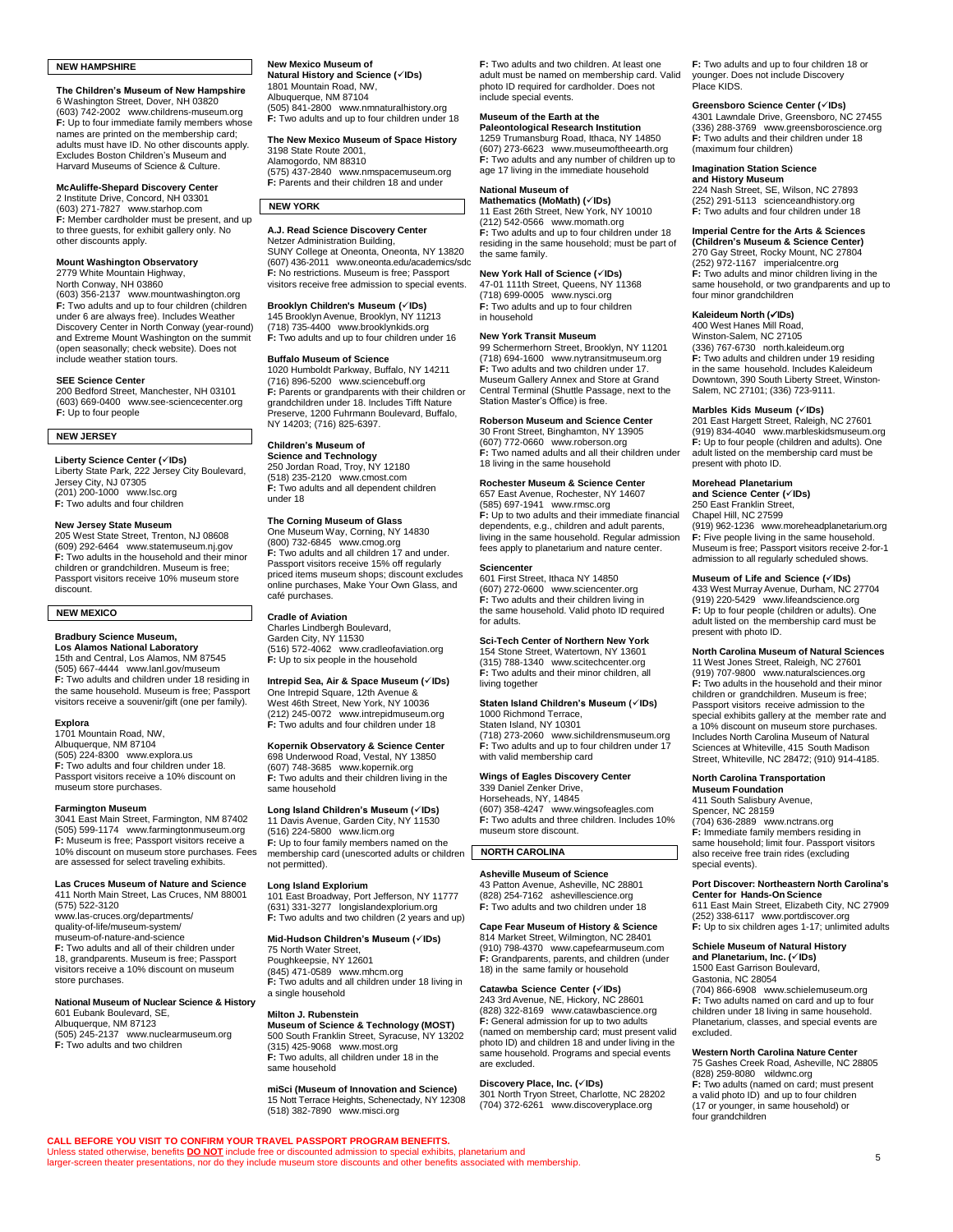# **NEW HAMPSHIRE**

**The Children's Museum of New Hampshire** 6 Washington Street, Dover, NH 03820 (603) 742-2002 [www.childrens-museum.org](http://www.childrens-museum.org/) **F:** Up to four immediate family members who names are printed on the membership card; adults must have ID. No other discounts apply. Excludes Boston Children's Museum and Harvard Museums of Science & Culture.

**McAuliffe-Shepard Discovery Center** 2 Institute Drive, Concord, NH 03301 (603) 271-7827 [www.starhop.com](http://www.starhop.com/) **F:** Member cardholder must be present, and up to three guests, for exhibit gallery only. No other discounts apply.

# **Mount Washington Observatory**

2779 White Mountain Highway, North Conway, NH 03860

(603) 356-2137 [www.mountwashington.org](http://www.mountwashington.org/) **F:** Two adults and up to four children (children under 6 are always free). Includes Weather Discovery Center in North Conway (year-round) and Extreme Mount Washington on the summit (open seasonally; check website). Does not include weather station tours.

### **SEE Science Center**

200 Bedford Street, Manchester, NH 03101 (603) 669-0400 [www.see-sciencecenter.org](http://www.see-sciencecenter.org/) **F:** Up to four people

# **NEW JERSEY**

**Liberty Science Center (**✓**IDs)** Liberty State Park, 222 Jersey City Boulevard, Jersey City, NJ 07305 (201) 200-1000 [www.lsc.org](http://www.lsc.org/) **F:** Two adults and four children

### **New Jersey State Museum**

205 West State Street, Trenton, NJ 08608 (609) 292-6464 [www.statemuseum.nj.gov](https://www.statemuseum.nj.gov/) **F:** Two adults in the household and their minor children or grandchildren. Museum is free; Passport visitors receive 10% museum store discount.

# **NEW MEXICO**

### **Bradbury Science Museum, Los Alamos National Laboratory**

15th and Central, Los Alamos, NM 87545 (505) 667-4444 [www.lanl.gov/museum](http://www.lanl.gov/museum) **F:** Two adults and children under 18 residing in the same household. Museum is free; Passport visitors receive a souvenir/gift (one per family).

# **Explora**

1701 Mountain Road, NW, Albuquerque, NM 87104 (505) 224-8300 [www.explora.us](http://www.explora.us/) **F:** Two adults and four children under 18. Passport visitors receive a 10% discount on museum store purchases.

# **Farmington Museum**

3041 East Main Street, Farmington, NM 87402 (505) 599-1174 [www.farmingtonmuseum.org](http://www.farmingtonmuseum.org/) **F:** Museum is free; Passport visitors receive a 10% discount on museum store purchases. Fees are assessed for select traveling exhibits.

# **Las Cruces Museum of Nature and Science**

411 North Main Street, Las Cruces, NM 88001 (575) 522-3120 [www.las-cruces.org/departments/](http://www.las-cruces.org/departments/quality-of-life/museum-system/museum-of-nature-and-science) [quality-of-life/museum-system/](http://www.las-cruces.org/departments/quality-of-life/museum-system/museum-of-nature-and-science) [museum-of-nature-and-science](http://www.las-cruces.org/departments/quality-of-life/museum-system/museum-of-nature-and-science) **F:** Two adults and all of their children under 18, grandparents. Museum is free: Passport visitors receive a 10% discount on museum store purchases.

# **National Museum of Nuclear Science & History** 601 Eubank Boulevard, SE, Albuquerque, NM 87123

(505) 245-2137 [www.nuclearmuseum.org](http://www.nuclearmuseum.org/) **F:** Two adults and two children

### **New Mexico Museum of**

**Natural History and Science (**✓**IDs)** 1801 Mountain Road, NW, Albuquerque, NM 87104 (505) 841-2800 [www.nmnaturalhistory.org](http://www.nmnaturalhistory.org/) **F:** Two adults and up to four children under 18

**The New Mexico Museum of Space History** 3198 State Route 2001,

Alamogordo, NM 88310 (575) 437-2840 [www.nmspacemuseum.org](http://www.nmspacemuseum.org/) **F:** Parents and their children 18 and under

# **A.J. Read Science Discovery Center**

**NEW YORK**

Netzer Administration Building, SUNY College at Oneonta, Oneonta, NY 13820 (607) 436-2011 [www.oneonta.edu/academics/sdc](http://www.oneonta.edu/academics/sdc) **F:** No restrictions. Museum is free; Passport visitors receive free admission to special events.

**Brooklyn Children's Museum (**✓**IDs)** 145 Brooklyn Avenue, Brooklyn, NY 11213 (718) 735-4400 [www.brooklynkids.org](http://www.brooklynkids.org/) **F:** Two adults and up to four children under 16

# **Buffalo Museum of Science**

1020 Humboldt Parkway, Buffalo, NY 14211 (716) 896-5200 [www.sciencebuff.org](http://www.sciencebuff.org/) **F:** Parents or grandparents with their children or grandchildren under 18. Includes Tifft Nature Preserve, 1200 Fuhrmann Boulevard, Buffalo, NY 14203; (716) 825-6397.

# **Children's Museum of**

**Science and Technology**  250 Jordan Road, Troy, NY 12180 (518) 235-2120 [www.cmost.com](http://www.cmost.com/) **F:** Two adults and all dependent children under 18

# **The Corning Museum of Glass**

One Museum Way, Corning, NY 14830 (800) 732-6845 [www.cmog.org](https://www.cmog.org/) **F:** Two adults and all children 17 and under. Passport visitors receive 15% off regularly priced items museum shops; discount excludes online purchases, Make Your Own Glass, and café purchases.

# **Cradle of Aviation**

Charles Lindbergh Boulevard, Garden City, NY 11530 (516) 572-4062 [www.cradleofaviation.org](https://www.cradleofaviation.org/) **F:** Up to six people in the household

# **Intrepid Sea, Air & Space Museum (**✓**IDs)**

One Intrepid Square, 12th Avenue & West 46th Street, New York, NY 10036 (212) 245-0072 [www.intrepidmuseum.org](http://www.intrepidmuseum.org/) **F:** Two adults and four children under 18

### **Kopernik Observatory & Science Center** 698 Underwood Road, Vestal, NY 13850

(607) 748-3685 [www.kopernik.org](http://www.kopernik.org/) **F:** Two adults and their children living in the same household

## **Long Island Children's Museum (**✓**IDs)**

11 Davis Avenue, Garden City, NY 11530 (516) 224-5800 [www.licm.org](http://www.licm.org/) **F:** Up to four family members named on the membership card (unescorted adults or children not permitted).

### **Long Island Explorium**

101 East Broadway, Port Jefferson, NY 11777 (631) 331-3277 [longislandexplorium.org](https://longislandexplorium.org/) **F:** Two adults and two children (2 years and up)

**Mid-Hudson Children's Museum (**✓**IDs)** 75 North Water Street, Poughkeepsie, NY 12601 (845) 471-0589 [www.mhcm.org](http://www.mhcm.org/) **F:** Two adults and all children under 18 living in a single household

### **Milton J. Rubenstein**

Unless stated otherwise, benefits <mark>DO NOT</mark> include free or discounted admission to special exhibits, planetarium and<br>larger-screen theater presentations, nor do they include museum store discounts and other benefits associ

**CALL BEFORE YOU VISIT TO CONFIRM YOUR TRAVEL PASSPORT PROGRAM BENEFITS.**

**Museum of Science & Technology (MOST)** 500 South Franklin Street, Syracuse, NY 13202 (315) 425-9068 [www.most.org](http://www.most.org/) **F:** Two adults, all children under 18 in the same household

**miSci (Museum of Innovation and Science)** 15 Nott Terrace Heights, Schenectady, NY 12308 (518) 382-7890 [www.misci.org](http://www.misci.org/) **F:** Two adults and two children. At least one adult must be named on membership card. Valid photo ID required for cardholder. Does not include special events.

# **Museum of the Earth at the**

**Paleontological Research Institution** 1259 Trumansburg Road, Ithaca, NY 14850 (607) 273-6623 [www.museumoftheearth.org](http://www.museumoftheearth.org/) **F:** Two adults and any number of children up to age 17 living in the immediate household

# **National Museum of**

**Mathematics (MoMath) (✓IDs)**<br>11 East 26th Street, New York, NY 10010 (212) 542-0566 [www.momath.org](http://www.momath.org/) **F:** Two adults and up to four children under 18 residing in the same household; must be part of the same family.

# **New York Hall of Science (**✓**IDs)**

47-01 111th Street, Queens, NY 11368 (718) 699-0005 [www.nysci.org](http://www.nysci.org/) **F:** Two adults and up to four children in household

# **New York Transit Museum**

99 Schermerhorn Street, Brooklyn, NY 11201 (718) 694-1600 [www.nytransitmuseum.org](http://www.nytransitmuseum.org/) **F:** Two adults and two children under 17. Museum Gallery Annex and Store at Grand Central Terminal (Shuttle Passage, next to the Station Master's Office) is free.

# **Roberson Museum and Science Center**

30 Front Street, Binghamton, NY 13905 (607) 772-0660 [www.roberson.org](http://www.roberson.org/) **F:** Two named adults and all their children under 18 living in the same household

# **Rochester Museum & Science Center** 657 East Avenue, Rochester, NY 14607

(585) 697-1941 [www.rmsc.org](http://www.rmsc.org/) **F:** Up to two adults and their immediate financial dependents, e.g., children and adult parents, living in the same household. Regular admission fees apply to planetarium and nature center.

# **Sciencenter**

601 First Street, Ithaca NY 14850 (607) 272-0600 [www.sciencenter.org](http://www.sciencenter.org/) **F:** Two adults and their children living in the same household. Valid photo ID required for adults.

# **Sci-Tech Center of Northern New York**

154 Stone Street, Watertown, NY 13601 (315) 788-1340 [www.scitechcenter.org](http://www.scitechcenter.org/) **F:** Two adults and their minor children, all living together

# **Staten Island Children's Museum (**✓**IDs)**

1000 Richmond Terrace, Staten Island, NY 10301 (718) 273-2060 [www.sichildrensmuseum.org](http://www.sichildrensmuseum.org/) **F:** Two adults and up to four children under 17 with valid membership card

# **Wings of Eagles Discovery Center**

339 Daniel Zenker Drive, Horseheads, NY, 14845 (607) 358-4247 [www.wingsofeagles.com](http://www.wingsofeagles.com/) **F:** Two adults and three children. Includes 10% museum store discount.

# **NORTH CAROLINA**

# **Asheville Museum of Science**

43 Patton Avenue, Asheville, NC 28801 (828) 254-7162 [ashevillescience.org](http://ashevillescience.org/) **F:** Two adults and two children under 18

# **Cape Fear Museum of History & Science**

814 Market Street, Wilmington, NC 28401 (910) 798-4370 [www.capefearmuseum.com](http://www.capefearmuseum.com/) **F:** Grandparents, parents, and children (under 18) in the same family or household

**Catawba Science Center (✓IDs)<br>243 3rd Avenue, NE, Hickory, NC 28601<br>(828) 322-8169 [www.catawbascience.org](http://www.catawbascience.org/) F:** General admission for up to two adults (named on membership card; must present valid photo ID) and children 18 and under living in the same household. Programs and special events are excluded.

# **Discovery Place, Inc. (**✓**IDs)**

301 North Tryon Street, Charlotte, NC 28202 (704) 372-6261 [www.discoveryplace.org](http://www.discoveryplace.org/)

**F:** Two adults and up to four children 18 or younger. Does not include Discovery Place KIDS.

### **Greensboro Science Center (**✓**IDs)** 4301 Lawndale Drive, Greensboro, NC 27455

(336) 288-3769 [www.greensboroscience.org](http://www.greensboroscience.org/) **F:** Two adults and their children under 18 (maximum four children)

# **Imagination Station Science**

**and History Museum** 224 Nash Street, SE, Wilson, NC 27893 (252) 291-5113 [scienceandhistory.org](http://scienceandhistory.org/home) **F:** Two adults and four children under 18

# **Imperial Centre for the Arts & Sciences**

**(Children's Museum & Science Center)** 270 Gay Street, Rocky Mount, NC 27804 (252) 972-1167 [imperialcentre.org](https://imperialcentre.org/) **F:** Two adults and minor children living in the same household, or two grandparents and up to four minor grandchildren

# **Kaleideum North (**✓**IDs)** 400 West Hanes Mill Road,

Winston-Salem, NC 27105 (336) 767-6730 [north.kaleideum.org](http://north.kaleideum.org/) **F:** Two adults and children under 19 residing in the same household. Includes Kaleideum Downtown, 390 South Liberty Street, Winston-Salem, NC 27101; (336) 723-9111.

# **Marbles Kids Museum (**✓**IDs)**

201 East Hargett Street, Raleigh, NC 27601 (919) 834-4040 [www.marbleskidsmuseum.org](http://www.marbleskidsmuseum.org/) **F:** Up to four people (children and adults). One adult listed on the membership card must be present with photo ID.

# **Morehead Planetarium**

**and Science Center (**✓**IDs)** 250 East Franklin Street, Chapel Hill, NC 27599

(919) 962-1236 [www.moreheadplanetarium.org](http://www.moreheadplanetarium.org/) **F:** Five people living in the same household. Museum is free; Passport visitors receive 2-for-1 admission to all regularly scheduled shows.

# **Museum of Life and Science (**✓**IDs)**

433 West Murray Avenue, Durham, NC 27704<br>(919) 220-5429 [www.lifeandscience.org](http://www.lifeandscience.org/)<br>**F:** Up to four people (children or adults). One<br>adult listed on the membership card must be present with photo ID.

# **North Carolina Museum of Natural Sciences**

11 West Jones Street, Raleigh, NC 27601 (919) 707-9800 [www.naturalsciences.org](http://www.naturalsciences.org/) **F:** Two adults in the household and their minor children or grandchildren. Museum is free; Passport visitors receive admission to the special exhibits gallery at the member rate and a 10% discount on museum store purchases. Includes North Carolina Museum of Natural Sciences at Whiteville, 415 South Madison Street, Whiteville, NC 28472; (910) 914-4185.

**Port Discover: Northeastern North Carolina's Center for Hands-On Science** 611 East Main Street, Elizabeth City, NC 27909 (252) 338-6117 [www.portdiscover.org](http://www.portdiscover.org/) **F:** Up to six children ages 1-17; unlimited adults **Schiele Museum of Natural History and Planetarium, Inc. (**✓**IDs)** 1500 East Garrison Boulevard, Gastonia, NC 28054

(704) 866-6908 [www.schielemuseum.org](http://www.schielemuseum.org/) **F:** Two adults named on card and up to four children under 18 living in same household. Planetarium, classes, and special events are

**Western North Carolina Nature Center** 75 Gashes Creek Road, Asheville, NC 28805 (828) 259-8080 [wildwnc.org](https://wildwnc.org/) **F:** Two adults (named on card; must present a valid photo ID) and up to four children (17 or younger, in same household) or

**North Carolina Transportation Museum Foundation** 411 South Salisbury Avenue, Spencer, NC 28159

(704) 636-2889 [www.nctrans.org](http://www.nctrans.org/) **F:** Immediate family members residing in same household; limit four. Passport visitors also receive free train rides (excluding

special events).

excluded.

four grandchildren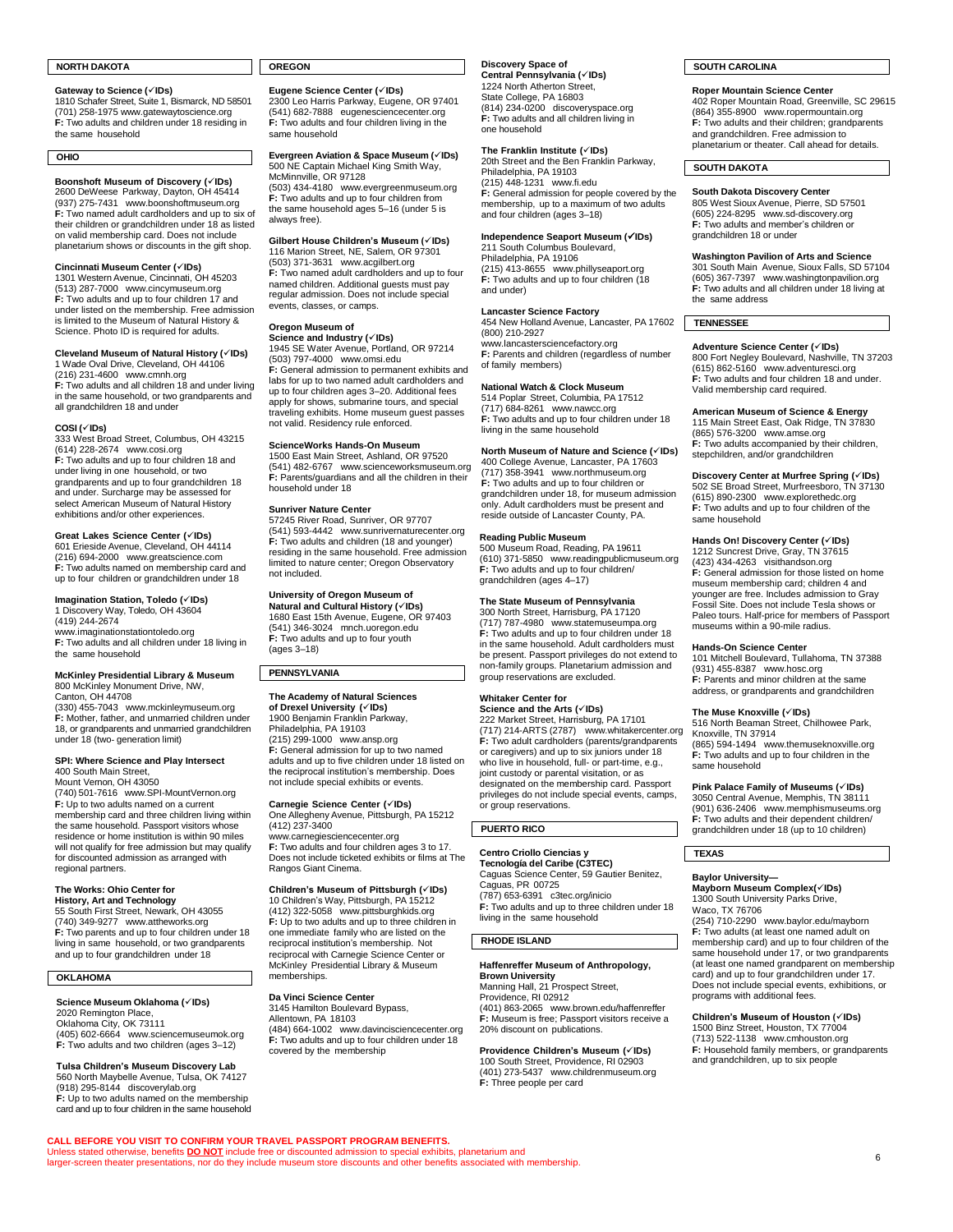# **NORTH DAKOTA**

# **Gateway to Science (**✓**IDs)**

1810 Schafer Street, Suite 1, Bismarck, ND 58501 (701) 258-1975 [www.gatewaytoscience.org](http://www.gatewaytoscience.org/) **F:** Two adults and children under 18 residing in the same household

# **OHIO**

# **Boonshoft Museum of Discovery (**✓**IDs)**

2600 DeWeese Parkway, Dayton, OH 45414 (937) 275-7431 [www.boonshoftmuseum.org](http://www.boonshoftmuseum.org/) **F:** Two named adult cardholders and up to six of their children or grandchildren under 18 as listed on valid membership card. Does not include planetarium shows or discounts in the gift shop.

# **Cincinnati Museum Center (**✓**IDs)**

1301 Western Avenue, Cincinnati, OH 45203 (513) 287-7000 [www.cincymuseum.org](http://www.cincymuseum.org/) **F:** Two adults and up to four children 17 and under listed on the membership. Free admission is limited to the Museum of Natural History & Science. Photo ID is required for adults.

# **Cleveland Museum of Natural History (**✓**IDs)**

1 Wade Oval Drive, Cleveland, OH 44106 (216) 231-4600 [www.cmnh.org](http://www.cmnh.org/) **F:** Two adults and all children 18 and under living in the same household, or two grandparents and all grandchildren 18 and under

# **COSI (**✓**IDs)**

333 West Broad Street, Columbus, OH 43215 (614) 228-2674 [www.cosi.org](http://www.cosi.org/) **F:** Two adults and up to four children 18 and under living in one household, or two grandparents and up to four grandchildren 18 and under. Surcharge may be assessed for select American Museum of Natural History exhibitions and/or other experiences.

# **Great Lakes Science Center (**✓**IDs)**

601 Erieside Avenue, Cleveland, OH 44114 (216) 694-2000 [www.greatscience.com](http://www.greatscience.com/) **F:** Two adults named on membership card and up to four children or grandchildren under 18

# **Imagination Station, Toledo (**✓**IDs)**

1 Discovery Way, Toledo, OH 43604 (419) 244-2674 [www.imaginationstationtoledo.org](http://www.imaginationstationtoledo.org/) **F:** Two adults and all children under 18 living in the same household

# **McKinley Presidential Library & Museum** 800 McKinley Monument Drive, NW,

Canton, OH 44708 (330) 455-7043 [www.mckinleymuseum.org](http://www.mckinleymuseum.org/) **F:** Mother, father, and unmarried children under 18, or grandparents and unmarried grandchildren under 18 (two- generation limit)

# **SPI: Where Science and Play Intersect**

400 South Main Street, Mount Vernon, OH 43050

(740) 501-7616 [www.SPI-MountVernon.org](http://www.spi-mountvernon.org/) **F:** Up to two adults named on a current<br>membership card and three children living within the same household. Passport visitors whose residence or home institution is within 90 miles will not qualify for free admission but may qualify for discounted admission as arranged with regional partners.

**The Works: Ohio Center for History, Art and Technology** 55 South First Street, Newark, OH 43055 (740) 349-9277 [www.attheworks.org](http://www.attheworks.org/) **F:** Two parents and up to four children under 18 living in same household, or two grandparents and up to four grandchildren under 18

# **OKLAHOMA**

# **Science Museum Oklahoma (**✓**IDs)**

2020 Remington Place, Oklahoma City, OK 73111 (405) 602-6664 [www.sciencemuseumok.org](http://www.sciencemuseumok.org/) **F:** Two adults and two children (ages 3–12)

# **Tulsa Children's Museum Discovery Lab** 560 North Maybelle Avenue, Tulsa, OK 74127

(918) 295-8144 [discoverylab.org](http://discoverylab.org/) **F:** Up to two adults named on the membership card and up to four children in the same household

# **OREGON**

**Eugene Science Center (**✓**IDs)** 2300 Leo Harris Parkway, Eugene, OR 97401 (541) 682-7888 [eugenesciencecenter.org](https://eugenesciencecenter.org/) **F:** Two adults and four children living in the same household

# **Evergreen Aviation & Space Museum (**✓**IDs)** 500 NE Captain Michael King Smith Way, McMinnville, OR 97128

(503) 434-4180 [www.evergreenmuseum.org](http://www.evergreenmuseum.org/) **F:** Two adults and up to four children from the same household ages 5–16 (under 5 is always free).

### **Gilbert House Children's Museum (**✓**IDs)** 116 Marion Street, NE, Salem, OR 97301

(503) 371-3631 [www.acgilbert.org](http://www.acgilbert.org/) **F:** Two named adult cardholders and up to four named children. Additional guests must pay regular admission. Does not include special events, classes, or camps.

### **Oregon Museum of Science and Industry (**✓**IDs)**

1945 SE Water Avenue, Portland, OR 97214 (503) 797-4000 [www.omsi.edu](http://www.omsi.edu/) **F:** General admission to permanent exhibits and labs for up to two named adult cardholders and up to four children ages 3–20. Additional fees apply for shows, submarine tours, and special traveling exhibits. Home museum guest passes not valid. Residency rule enforced.

# **ScienceWorks Hands-On Museum**

1500 East Main Street, Ashland, OR 97520 (541) 482-6767 [www.scienceworksmuseum.org](http://www.scienceworksmuseum.org/) **F:** Parents/guardians and all the children in their household under 18

# **Sunriver Nature Center**

57245 River Road, Sunriver, OR 97707 (541) 593-4442 [www.sunrivernaturecenter.org](http://www.sunrivernaturecenter.org/) **F:** Two adults and children (18 and younger) residing in the same household. Free admission limited to nature center; Oregon Observatory not included.

# **University of Oregon Museum of Natural and Cultural History (**✓**IDs)**

1680 East 15th Avenue, Eugene, OR 97403 (541) 346-3024 [mnch.uoregon.edu](https://mnch.uoregon.edu/) **F:** Two adults and up to four youth (ages 3–18)

# **PENNSYLVANIA**

**The Academy of Natural Sciences of Drexel University (**✓**IDs)** 1900 Benjamin Franklin Parkway, Philadelphia, PA 19103 (215) 299-1000 [www.ansp.org](http://www.ansp.org/) **F:** General admission for up to two named adults and up to five children under 18 listed on the reciprocal institution's membership. Does not include special exhibits or events.

**Carnegie Science Center (√IDs)<br>One Allegheny Avenue, Pittsburgh, PA 15212<br>(412) 237-3400** [www.carnegiesciencecenter.org](http://www.carnegiesciencecenter.org/) **F:** Two adults and four children ages 3 to 17. Does not include ticketed exhibits or films at The Rangos Giant Cinema.

**Children's Museum of Pittsburgh (✓IDs)**<br>10 Children's Way, Pittsburgh, PA 15212<br>(412) 322-5058 [www.pittsburghkids.org](http://www.pittsburghkids.org/)<br>**F:** Up to two adults and up to three children in one immediate family who are listed on the reciprocal institution's membership. Not reciprocal with Carnegie Science Center or McKinley Presidential Library & Museum memberships.

# **Da Vinci Science Center**

Unless stated otherwise, benefits <mark>DO NOT</mark> include free or discounted admission to special exhibits, planetarium and<br>larger-screen theater presentations, nor do they include museum store discounts and other benefits associ

**CALL BEFORE YOU VISIT TO CONFIRM YOUR TRAVEL PASSPORT PROGRAM BENEFITS.**

3145 Hamilton Boulevard Bypass, Allentown, PA 18103 (484) 664-1002 [www.davincisciencecenter.org](http://www.davincisciencecenter.org/) **F:** Two adults and up to four children under 18 covered by the membership

# **Discovery Space of**

**Central Pennsylvania (**✓**IDs)** 1224 North Atherton Street, State College, PA 16803 (814) 234-0200 [discoveryspace.org](https://discoveryspace.org/) **F:** Two adults and all children living in one household

# **The Franklin Institute (**✓**IDs)** 20th Street and the Ben Franklin Parkway,

Philadelphia, PA 19103 (215) 448-1231 [www.fi.edu](http://www.fi.edu/) **F:** General admission for people covered by the membership, up to a maximum of two adults and four children (ages 3–18)

# **Independence Seaport Museum (**✓**IDs)**

211 South Columbus Boulevard, Philadelphia, PA 19106 (215) 413-8655 www.phillyseaport.org **F:** Two adults and up to four children (18 and under)

### **Lancaster Science Factory** 454 New Holland Avenue, Lancaster, PA 17602

(800) 210-2927 [www.lancastersciencefactory.org](http://www.lancastersciencefactory.org/) **F:** Parents and children (regardless of number of family members)

# **National Watch & Clock Museum**

514 Poplar Street, Columbia, PA 17512 (717) 684-8261 [www.nawcc.org](http://www.nawcc.org/) **F:** Two adults and up to four children under 18 living in the same household

# **North Museum of Nature and Science (**✓**IDs)**

400 College Avenue, Lancaster, PA 17603 (717) 358-3941 [www.northmuseum.org](http://www.northmuseum.org/) **F:** Two adults and up to four children or grandchildren under 18, for museum admission only. Adult cardholders must be present and reside outside of Lancaster County, PA.

# **Reading Public Museum**

500 Museum Road, Reading, PA 19611 (610) 371-5850 [www.readingpublicmuseum.org](http://www.readingpublicmuseum.org/) **F:** Two adults and up to four children/ grandchildren (ages 4–17)

# **The State Museum of Pennsylvania**

300 North Street, Harrisburg, PA 17120 (717) 787-4980 [www.statemuseumpa.org](http://www.statemuseumpa.org/) **F:** Two adults and up to four children under 18 in the same household. Adult cardholders must be present. Passport privileges do not extend to non-family groups. Planetarium admission and group reservations are excluded.

# **Whitaker Center for**

**Science and the Arts (**✓**IDs)** 222 Market Street, Harrisburg, PA 17101 (717) 214-ARTS (2787) [www.whitakercenter.org](http://www.whitakercenter.org/) **F:** Two adult cardholders (parents/grandparents) or caregivers) and up to six juniors under 18 who live in household, full- or part-time, e.g., joint custody or parental visitation, or as designated on the membership card. Passport privileges do not include special events, camps, or group reservations.

# **PUERTO RICO**

**Centro Criollo Ciencias y Tecnología del Caribe (C3TEC)** Caguas Science Center, 59 Gautier Benitez, Caguas, PR 00725 (787) 653-6391 [c3tec.org/inicio](http://c3tec.org/inicio) **F:** Two adults and up to three children under 18 living in the same household

# **RHODE ISLAND**

# **Haffenreffer Museum of Anthropology,**

**Brown University** Manning Hall, 21 Prospect Street, Providence, RI 02912 (401) 863-2065 [www.brown.edu/haffenreffer](http://www.brown.edu/haffenreffer) **F:** Museum is free; Passport visitors receive a 20% discount on publications.

# **Providence Children's Museum (**✓**IDs)** 100 South Street, Providence, RI 02903 (401) 273-5437 [www.childrenmuseum.org](http://www.childrenmuseum.org/) **F:** Three people per card

# **SOUTH CAROLINA**

# **Roper Mountain Science Center**

402 Roper Mountain Road, Greenville, SC 29615 (864) 355-8900 [www.ropermountain.org](http://www.ropermountain.org/) **F:** Two adults and their children; grandparents and grandchildren. Free admission to planetarium or theater. Call ahead for details.

# **SOUTH DAKOTA**

**South Dakota Discovery Center**<br>805 West Sioux Avenue, Pierre, SD 57501 (605) 224-8295 [www.sd-discovery.org](http://www.sd-discovery.org/) **F:** Two adults and member's children or grandchildren 18 or under

# **Washington Pavilion of Arts and Science** 301 South Main Avenue, Sioux Falls, SD 57104 (605) 367-7397 [www.washingtonpavilion.org](http://www.washingtonpavilion.org/) **F:** Two adults and all children under 18 living at the same address

# **TENNESSEE**

# **Adventure Science Center (**✓**IDs)**

800 Fort Negley Boulevard, Nashville, TN 37203 (615) 862-5160 [www.adventuresci.org](http://www.adventuresci.org/) **F:** Two adults and four children 18 and under. Valid membership card required.

# **American Museum of Science & Energy**

115 Main Street East, Oak Ridge, TN 37830 (865) 576-3200 [www.amse.org](http://www.amse.org/) **F:** Two adults accompanied by their children, stepchildren, and/or grandchildren

# **Discovery Center at Murfree Spring (**✓**IDs)** 502 SE Broad Street, Murfreesboro, TN 37130 (615) 890-2300 [www.explorethedc.org](http://www.explorethedc.org/) **F:** Two adults and up to four children of the

same household

# **Hands On! Discovery Center (**✓**IDs)** 1212 Suncrest Drive, Gray, TN 37615

(423) 434-4263 [visithandson.org](http://visithandson.org/) **F:** General admission for those listed on home museum membership card; children 4 and younger are free. Includes admission to Gray Fossil Site. Does not include Tesla shows or Paleo tours. Half-price for members of Passport museums within a 90-mile radius.

### **Hands-On Science Center**

101 Mitchell Boulevard, Tullahoma, TN 37388 (931) 455-8387 [www.hosc.org](https://www.hosc.org/) **F:** Parents and minor children at the same address, or grandparents and grandchildren

# **The Muse Knoxville (**✓**IDs)**

516 North Beaman Street, Chilhowee Park, Knoxville, TN 37914 (865) 594-1494 [www.themuseknoxville.org](http://www.themuseknoxville.org/) **F:** Two adults and up to four children in the same household

# **Pink Palace Family of Museums (**✓**IDs)**

3050 Central Avenue, Memphis, TN 38111 (901) 636-2406 [www.memphismuseums.org](http://www.memphismuseums.org/) **F:** Two adults and their dependent children/ grandchildren under 18 (up to 10 children)

# **TEXAS**

**Baylor University— Mayborn Museum Complex(**✓**IDs)** 1300 South University Parks Drive, Waco, TX 76706

(254) 710-2290 [www.baylor.edu/mayborn](https://www.baylor.edu/mayborn/) **F:** Two adults (at least one named adult on membership card) and up to four children of the same household under 17, or two grandparents (at least one named grandparent on membership card) and up to four grandchildren under 17. Does not include special events, exhibitions, or programs with additional fees.

**Children's Museum of Houston (**✓**IDs)** 1500 Binz Street, Houston, TX 77004 (713) 522-1138 [www.cmhouston.org](http://www.cmhouston.org/) **F:** Household family members, or grandparents and grandchildren, up to six people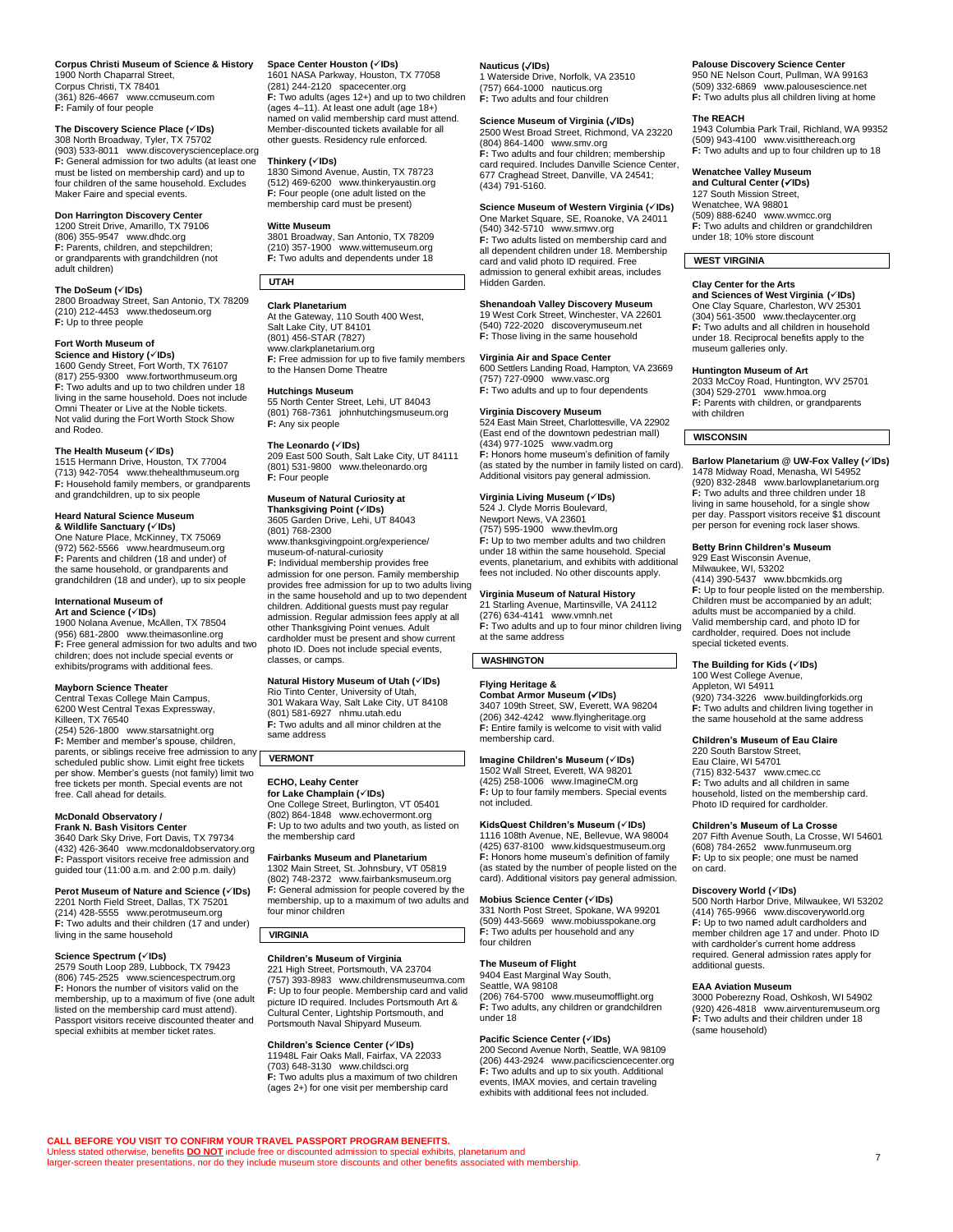### **Corpus Christi Museum of Science & History** 1900 North Chaparral Street, Corpus Christi, TX 78401 (361) 826-4667 [www.ccmuseum.com](https://www.ccmuseum.com/)

**F:** Family of four people

# **The Discovery Science Place (**✓**IDs)** 308 North Broadway, Tyler, TX 75702

(903) 533-8011 [www.discoveryscienceplace.org](http://www.discoveryscienceplace.org/) **F:** General admission for two adults (at least one must be listed on membership card) and up to four children of the same household. Excludes Maker Faire and special events.

# **Don Harrington Discovery Center** 1200 Streit Drive, Amarillo, TX 79106

(806) 355-9547 [www.dhdc.org](http://www.dhdc.org/) **F:** Parents, children, and stepchildren; or grandparents with grandchildren (not adult children)

# **The DoSeum (**✓**IDs)**

2800 Broadway Street, San Antonio, TX 78209 (210) 212-4453 [www.thedoseum.org](http://www.thedoseum.org/) **F:** Up to three people

# **Fort Worth Museum of**

**Science and History (✓IDs)**<br>1600 Gendy Street, Fort Worth, TX 76107 (817) 255-9300 [www.fortworthmuseum.org](http://www.fortworthmuseum.org/) **F:** Two adults and up to two children under 18 living in the same household. Does not include Omni Theater or Live at the Noble tickets. Not valid during the Fort Worth Stock Show and Rodeo.

# **The Health Museum (**✓**IDs)**

1515 Hermann Drive, Houston, TX 77004 (713) 942-7054 [www.thehealthmuseum.org](http://www.thehealthmuseum.org/) **F:** Household family members, or grandparents and grandchildren, up to six people

# **Heard Natural Science Museum**

**& Wildlife Sanctuary (**✓**IDs)** One Nature Place, McKinney, TX 75069 (972) 562-5566 [www.heardmuseum.org](http://www.heardmuseum.org/) **F:** Parents and children (18 and under) of the same household, or grandparents and grandchildren (18 and under), up to six people

# **International Museum of**

**Art and Science (**✓**IDs)** 1900 Nolana Avenue, McAllen, TX 78504 (956) 681-2800 [www.theimasonline.org](http://www.theimasonline.org/) **F:** Free general admission for two adults and two children; does not include special events or exhibits/programs with additional fees.

# **Mayborn Science Theater**

Central Texas College Main Campus, 6200 West Central Texas Expressway, Killeen, TX 76540

(254) 526-1800 [www.starsatnight.org](http://www.starsatnight.org/) **F:** Member and member's spouse, children, parents, or siblings receive free admission to any scheduled public show. Limit eight free tickets per show. Member's guests (not family) limit two free tickets per month. Special events are not free. Call ahead for details.

### **McDonald Observatory / Frank N. Bash Visitors Center**

3640 Dark Sky Drive, Fort Davis, TX 79734 (432) 426-3640 [www.mcdonaldobservatory.org](http://www.mcdonaldobservatory.org/) **F:** Passport visitors receive free admission and guided tour (11:00 a.m. and 2:00 p.m. daily)

# **Perot Museum of Nature and Science (**✓**IDs)**

2201 North Field Street, Dallas, TX 75201 (214) 428-5555 [www.perotmuseum.org](http://www.perotmuseum.org/) **F:** Two adults and their children (17 and under) living in the same household

**Science Spectrum (✓IDs)**<br>2579 South Loop 289, Lubbock, TX 79423 (806) 745-2525 [www.sciencespectrum.org](http://www.sciencespectrum.org/) **F:** Honors the number of visitors valid on the membership, up to a maximum of five (one adult listed on the membership card must attend). Passport visitors receive discounted theater and special exhibits at member ticket rates.

# **Space Center Houston (**✓**IDs)**

1601 NASA Parkway, Houston, TX 77058 (281) 244-2120 [spacecenter.org](https://spacecenter.org/) **F:** Two adults (ages 12+) and up to two children (ages 4–11). At least one adult (age 18+) named on valid membership card must attend. Member-discounted tickets available for all other guests. Residency rule enforced.

# **Thinkery (**✓**IDs)**

1830 Simond Avenue, Austin, TX 78723 (512) 469-6200 [www.thinkeryaustin.org](http://www.thinkeryaustin.org/) **F:** Four people (one adult listed on the membership card must be present)

# **Witte Museum**

3801 Broadway, San Antonio, TX 78209 (210) 357-1900 [www.wittemuseum.org](http://www.wittemuseum.org/) **F:** Two adults and dependents under 18

# **UTAH**

**Clark Planetarium** At the Gateway, 110 South 400 West, Salt Lake City, UT 84101 (801) 456-STAR (7827) [www.clarkplanetarium.org](http://www.clarkplanetarium.org/) **F:** Free admission for up to five family members to the Hansen Dome Theatre

## **Hutchings Museum**

55 North Center Street, Lehi, UT 84043 (801) 768-7361 [johnhutchingsmuseum.org](https://johnhutchingsmuseum.org/) **F:** Any six people

**The Leonardo (**✓**IDs)** 209 East 500 South, Salt Lake City, UT 84111 (801) 531-9800 [www.theleonardo.org](http://www.theleonardo.org/) **F:** Four people

# **Museum of Natural Curiosity at**

**Thanksgiving Point (**✓**IDs)** 3605 Garden Drive, Lehi, UT 84043 (801) 768-2300 [www.thanksgivingpoint.org/experience/](http://www.thanksgivingpoint.org/experience/%0bmuseum-of-natural-curiosity) [museum-of-natural-curiosity](http://www.thanksgivingpoint.org/experience/%0bmuseum-of-natural-curiosity) **F:** Individual membership provides free admission for one person. Family membership provides free admission for up to two adults living in the same household and up to two dependent children. Additional guests must pay regular admission. Regular admission fees apply at all other Thanksgiving Point venues. Adult cardholder must be present and show current photo ID. Does not include special events, classes, or camps.

# **Natural History Museum of Utah (**✓**IDs)**

Rio Tinto Center, University of Utah, 301 Wakara Way, Salt Lake City, UT 84108 (801) 581-6927 [nhmu.utah.edu](http://nhmu.utah.edu/) **F:** Two adults and all minor children at the same address

# **VERMONT**

**ECHO, Leahy Center for Lake Champlain (**✓**IDs)** One College Street, Burlington, VT 05401 (802) 864-1848 [www.echovermont.org](http://www.echovermont.org/) **F:** Up to two adults and two youth, as listed on the membership card

**Fairbanks Museum and Planetarium** 1302 Main Street, St. Johnsbury, VT 05819 (802) 748-2372 [www.fairbanksmuseum.org](http://www.fairbanksmuseum.org/) **F:** General admission for people covered by the membership, up to a maximum of two adults and four minor children

# **VIRGINIA**

**CALL BEFORE YOU VISIT TO CONFIRM YOUR TRAVEL PASSPORT PROGRAM BENEFITS.**

# **Children's Museum of Virginia**

221 High Street, Portsmouth, VA 23704 (757) 393-8983 [www.childrensmuseumva.com](http://www.childrensmuseumva.com/) **F:** Up to four people. Membership card and valid picture ID required. Includes Portsmouth Art & Cultural Center, Lightship Portsmouth, and Portsmouth Naval Shipyard Museum.

# **Children's Science Center (**✓**IDs)**

Unless stated otherwise, benefits <mark>DO NOT</mark> include free or discounted admission to special exhibits, planetarium and<br>larger-screen theater presentations, nor do they include museum store discounts and other benefits associ

11948L Fair Oaks Mall, Fairfax, VA 22033 (703) 648-3130 [www.childsci.org](http://www.childsci.org/) **F:** Two adults plus a maximum of two children (ages 2+) for one visit per membership card

# **Nauticus (**✓**IDs)**

1 Waterside Drive, Norfolk, VA 23510 (757) 664-1000 [nauticus.org](https://nauticus.org/) **F:** Two adults and four children

### **Science Museum of Virginia (**✓**IDs)** 2500 West Broad Street, Richmond, VA 23220

(804) 864-1400 [www.smv.org](http://www.smv.org/) **F:** Two adults and four children; membership card required. Includes Danville Science Center, 677 Craghead Street, Danville, VA 24541; (434) 791-5160.

### **Science Museum of Western Virginia (**✓**IDs)** One Market Square, SE, Roanoke, VA 24011

(540) 342-5710 [www.smwv.org](http://www.smwv.org/) **F:** Two adults listed on membership card and all dependent children under 18. Membership card and valid photo ID required. Free admission to general exhibit areas, includes Hidden Garden.

# **Shenandoah Valley Discovery Museum**

19 West Cork Street, Winchester, VA 22601 (540) 722-2020 [discoverymuseum.net](http://discoverymuseum.net/) **F:** Those living in the same household

# **Virginia Air and Space Center**

600 Settlers Landing Road, Hampton, VA 23669 (757) 727-0900 [www.vasc.org](http://www.vasc.org/) **F:** Two adults and up to four dependents

# **Virginia Discovery Museum**

524 East Main Street, Charlottesville, VA 22902 (East end of the downtown pedestrian mall) (434) 977-1025 [www.vadm.org](http://www.vadm.org/) **F:** Honors home museum's definition of family (as stated by the number in family listed on card). Additional visitors pay general admission.

# **Virginia Living Museum (√IDs)**<br>524 J. Clyde Morris Boulevard,

Newport News, VA 23601 (757) 595-1900 [www.thevlm.org](http://www.thevlm.org/) **F:** Up to two member adults and two children under 18 within the same household. Special events, planetarium, and exhibits with additional fees not included. No other discounts apply.

**Virginia Museum of Natural History**<br>21 Starling Avenue, Martinsville, VA 24112<br>(276) 634-4141 [www.vmnh.net](http://www.vmnh.net/) **F:** Two adults and up to four minor children living

at the same address

# **WASHINGTON**

# **Flying Heritage &**

**Combat Armor Museum (**✓**IDs)** 3407 109th Street, SW, Everett, WA 98204 (206) 342-4242 [www.flyingheritage.org](http://www.flyingheritage.org/) **F:** Entire family is welcome to visit with valid membership card.

# **Imagine Children's Museum (**✓**IDs)**

1502 Wall Street, Everett, WA 98201 (425) 258-1006 [www.ImagineCM.org](http://www.imaginecm.org/) **F:** Up to four family members. Special events not included.

# **KidsQuest Children's Museum (**✓**IDs)** 1116 108th Avenue, NE, Bellevue, WA 98004

(425) 637-8100 [www.kidsquestmuseum.org](http://www.kidsquestmuseum.org/) **F:** Honors home museum's definition of family (as stated by the number of people listed on the card). Additional visitors pay general admission.

# **Mobius Science Center (**✓**IDs)**

331 North Post Street, Spokane, WA 99201 (509) 443-5669 [www.mobiusspokane.org](http://www.mobiusspokane.org/) **F:** Two adults per household and any four children

# **The Museum of Flight**

9404 East Marginal Way South, Seattle, WA 98108 (206) 764-5700 [www.museumofflight.org](http://www.museumofflight.org/) **F:** Two adults, any children or grandchildren under 18

# **Pacific Science Center (**✓**IDs)**

200 Second Avenue North, Seattle, WA 98109 (206) 443-2924 [www.pacificsciencecenter.org](http://www.pacificsciencecenter.org/) **F:** Two adults and up to six youth. Additional events, IMAX movies, and certain traveling exhibits with additional fees not included.

# **Palouse Discovery Science Center**

950 NE Nelson Court, Pullman, WA 99163 (509) 332-6869 www.palousescience.net **F:** Two adults plus all children living at home

# **The REACH**

1943 Columbia Park Trail, Richland, WA 99352 (509) 943-4100 [www.visitthereach.org](http://www.visitthereach.org/) **F:** Two adults and up to four children up to 18

# **Wenatchee Valley Museum**

**and Cultural Center (**✓**IDs)** 127 South Mission Street, Wenatchee, WA 98801 (509) 888-6240 [www.wvmcc.org](http://www.wvmcc.org/) **F:** Two adults and children or grandchildren under 18; 10% store discount

# **WEST VIRGINIA**

**Clay Center for the Arts**

**and Sciences of West Virginia (**✓**IDs)** One Clay Square, Charleston, WV 25301 (304) 561-3500 [www.theclaycenter.org](http://www.theclaycenter.org/) **F:** Two adults and all children in household under 18. Reciprocal benefits apply to the museum galleries only.

# **Huntington Museum of Art**

2033 McCoy Road, Huntington, WV 25701 (304) 529-2701 [www.hmoa.org](https://www.hmoa.org/) **F:** Parents with children, or grandparents with children

# **WISCONSIN**

**Barlow Planetarium @ UW-Fox Valley (**✓**IDs)** 1478 Midway Road, Menasha, WI 54952 (920) 832-2848 [www.barlowplanetarium.org](http://www.barlowplanetarium.org/) **F:** Two adults and three children under 18 living in same household, for a single show per day. Passport visitors receive \$1 discount per person for evening rock laser shows.

# **Betty Brinn Children's Museum**

929 East Wisconsin Avenue, Milwaukee, WI, 53202 (414) 390-5437 [www.bbcmkids.org](http://www.bbcmkids.org/) **F:** Up to four people listed on the membership. Children must be accompanied by an adult; adults must be accompanied by a child. Valid membership card, and photo ID for cardholder, required. Does not include special ticketed events.

# **The Building for Kids (**✓**IDs)**

100 West College Avenue, Appleton, WI 54911 (920) 734-3226 [www.buildingforkids.org](http://www.buildingforkids.org/) **F:** Two adults and children living together in the same household at the same address

# **Children's Museum of Eau Claire** 220 South Barstow Street,

Eau Claire, WI 54701 (715) 832-5437 [www.cmec.cc](http://www.cmec.cc/) **F:** Two adults and all children in same household, listed on the membership card. Photo ID required for cardholder.

# **Children's Museum of La Crosse**

additional guests. **EAA Aviation Museum**

(same household)

207 Fifth Avenue South, La Crosse, WI 54601 (608) 784-2652 [www.funmuseum.org](http://www.funmuseum.org/) **F:** Up to six people; one must be named on card.

**Discovery World (**✓**IDs)** 500 North Harbor Drive, Milwaukee, WI 53202 (414) 765-9966 [www.discoveryworld.org](http://www.discoveryworld.org/) **F:** Up to two named adult cardholders and member children age 17 and under. Photo ID with cardholder's current home address required. General admission rates apply for

3000 Poberezny Road, Oshkosh, WI 54902 (920) 426-4818 [www.airventuremuseum.org](http://www.airventuremuseum.org/) **F:** Two adults and their children under 18